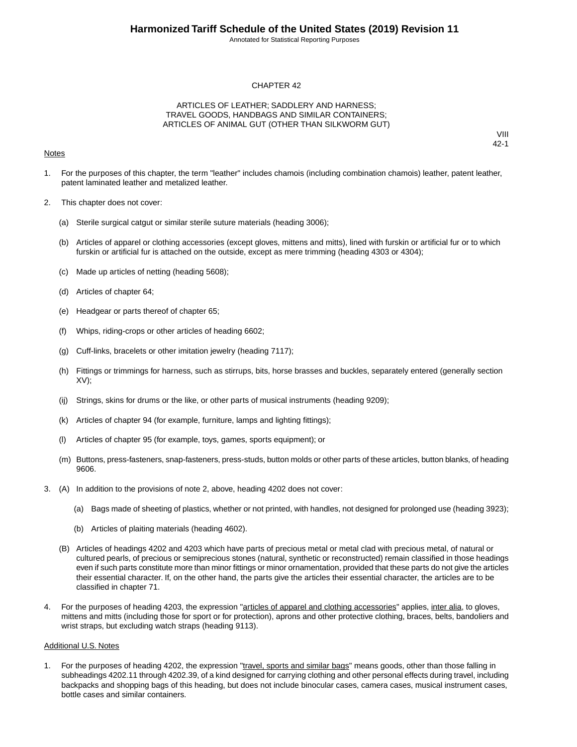Annotated for Statistical Reporting Purposes

#### CHAPTER 42

#### ARTICLES OF LEATHER; SADDLERY AND HARNESS; TRAVEL GOODS, HANDBAGS AND SIMILAR CONTAINERS; ARTICLES OF ANIMAL GUT (OTHER THAN SILKWORM GUT)

#### **Notes**

VIII 42-1

- 1. For the purposes of this chapter, the term "leather" includes chamois (including combination chamois) leather, patent leather, patent laminated leather and metalized leather.
- 2. This chapter does not cover:
	- (a) Sterile surgical catgut or similar sterile suture materials (heading 3006);
	- (b) Articles of apparel or clothing accessories (except gloves, mittens and mitts), lined with furskin or artificial fur or to which furskin or artificial fur is attached on the outside, except as mere trimming (heading 4303 or 4304);
	- (c) Made up articles of netting (heading 5608);
	- (d) Articles of chapter 64;
	- (e) Headgear or parts thereof of chapter 65;
	- (f) Whips, riding-crops or other articles of heading 6602;
	- (g) Cuff-links, bracelets or other imitation jewelry (heading 7117);
	- (h) Fittings or trimmings for harness, such as stirrups, bits, horse brasses and buckles, separately entered (generally section XV);
	- (ij) Strings, skins for drums or the like, or other parts of musical instruments (heading 9209);
	- (k) Articles of chapter 94 (for example, furniture, lamps and lighting fittings);
	- (l) Articles of chapter 95 (for example, toys, games, sports equipment); or
	- (m) Buttons, press-fasteners, snap-fasteners, press-studs, button molds or other parts of these articles, button blanks, of heading 9606.
- 3. (A) In addition to the provisions of note 2, above, heading 4202 does not cover:
	- (a) Bags made of sheeting of plastics, whether or not printed, with handles, not designed for prolonged use (heading 3923);
	- (b) Articles of plaiting materials (heading 4602).
	- (B) Articles of headings 4202 and 4203 which have parts of precious metal or metal clad with precious metal, of natural or cultured pearls, of precious or semiprecious stones (natural, synthetic or reconstructed) remain classified in those headings even if such parts constitute more than minor fittings or minor ornamentation, provided that these parts do not give the articles their essential character. If, on the other hand, the parts give the articles their essential character, the articles are to be classified in chapter 71.
- 4. For the purposes of heading 4203, the expression "articles of apparel and clothing accessories" applies, inter alia, to gloves, mittens and mitts (including those for sport or for protection), aprons and other protective clothing, braces, belts, bandoliers and wrist straps, but excluding watch straps (heading 9113).

#### Additional U.S. Notes

1. For the purposes of heading 4202, the expression "travel, sports and similar bags" means goods, other than those falling in subheadings 4202.11 through 4202.39, of a kind designed for carrying clothing and other personal effects during travel, including backpacks and shopping bags of this heading, but does not include binocular cases, camera cases, musical instrument cases, bottle cases and similar containers.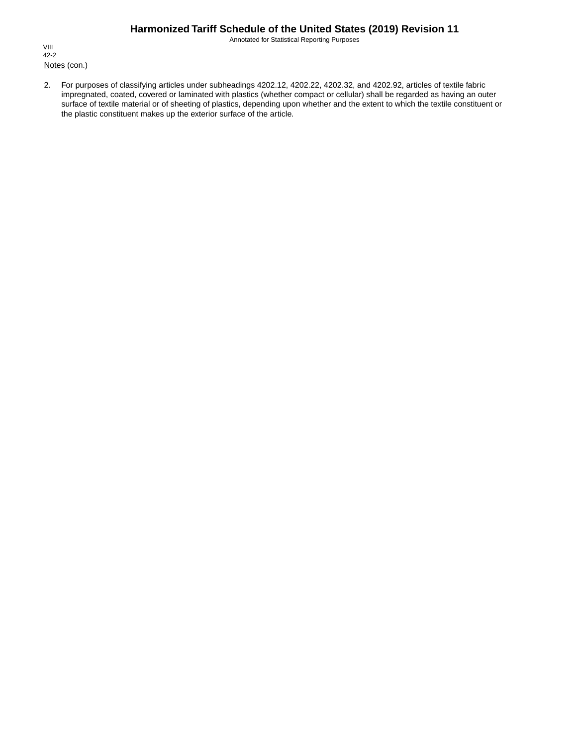Annotated for Statistical Reporting Purposes

Notes (con.) VIII 42-2

2. For purposes of classifying articles under subheadings 4202.12, 4202.22, 4202.32, and 4202.92, articles of textile fabric impregnated, coated, covered or laminated with plastics (whether compact or cellular) shall be regarded as having an outer surface of textile material or of sheeting of plastics, depending upon whether and the extent to which the textile constituent or the plastic constituent makes up the exterior surface of the article.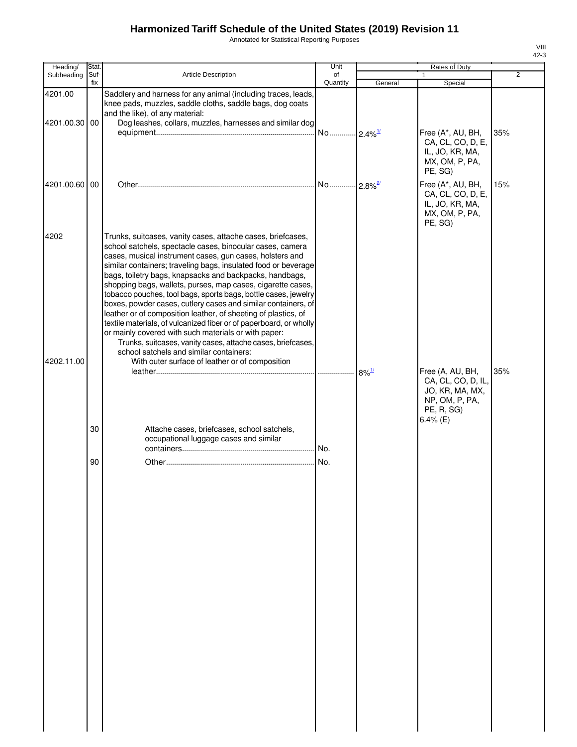Annotated for Statistical Reporting Purposes

| Heading/                 | Stat.       |                                                                                                                                                                                                                                                                                                                                                                                                                                                                                                                                                                                                                                                                                                                                                                                                                                                                                  | Unit                  | Rates of Duty |                                                                                                          |                |
|--------------------------|-------------|----------------------------------------------------------------------------------------------------------------------------------------------------------------------------------------------------------------------------------------------------------------------------------------------------------------------------------------------------------------------------------------------------------------------------------------------------------------------------------------------------------------------------------------------------------------------------------------------------------------------------------------------------------------------------------------------------------------------------------------------------------------------------------------------------------------------------------------------------------------------------------|-----------------------|---------------|----------------------------------------------------------------------------------------------------------|----------------|
| Subheading               | Suf-<br>fix | Article Description                                                                                                                                                                                                                                                                                                                                                                                                                                                                                                                                                                                                                                                                                                                                                                                                                                                              | of<br>Quantity        | General       | Special                                                                                                  | $\overline{2}$ |
| 4201.00<br>4201.00.30 00 |             | Saddlery and harness for any animal (including traces, leads,<br>knee pads, muzzles, saddle cloths, saddle bags, dog coats<br>and the like), of any material:<br>Dog leashes, collars, muzzles, harnesses and similar dog                                                                                                                                                                                                                                                                                                                                                                                                                                                                                                                                                                                                                                                        | No 2.4% <sup>1/</sup> |               | Free (A*, AU, BH,<br>CA, CL, CO, D, E,<br>IL, JO, KR, MA,<br>MX, OM, P, PA,<br>PE, SG)                   | 35%            |
| 4201.00.60 00            |             |                                                                                                                                                                                                                                                                                                                                                                                                                                                                                                                                                                                                                                                                                                                                                                                                                                                                                  | No 2.8% <sup>2/</sup> |               | Free (A*, AU, BH,<br>CA, CL, CO, D, E,<br>IL, JO, KR, MA,<br>MX, OM, P, PA,<br>PE, SG)                   | 15%            |
| 4202<br>4202.11.00       |             | Trunks, suitcases, vanity cases, attache cases, briefcases,<br>school satchels, spectacle cases, binocular cases, camera<br>cases, musical instrument cases, gun cases, holsters and<br>similar containers; traveling bags, insulated food or beverage<br>bags, toiletry bags, knapsacks and backpacks, handbags,<br>shopping bags, wallets, purses, map cases, cigarette cases,<br>tobacco pouches, tool bags, sports bags, bottle cases, jewelry<br>boxes, powder cases, cutlery cases and similar containers, of<br>leather or of composition leather, of sheeting of plastics, of<br>textile materials, of vulcanized fiber or of paperboard, or wholly<br>or mainly covered with such materials or with paper:<br>Trunks, suitcases, vanity cases, attache cases, briefcases,<br>school satchels and similar containers:<br>With outer surface of leather or of composition |                       |               |                                                                                                          |                |
|                          |             |                                                                                                                                                                                                                                                                                                                                                                                                                                                                                                                                                                                                                                                                                                                                                                                                                                                                                  |                       |               | Free (A, AU, BH,<br>CA, CL, CO, D, IL,<br>JO, KR, MA, MX,<br>NP, OM, P, PA,<br>PE, R, SG)<br>$6.4\%$ (E) | 35%            |
|                          | 30          | Attache cases, briefcases, school satchels,<br>occupational luggage cases and similar                                                                                                                                                                                                                                                                                                                                                                                                                                                                                                                                                                                                                                                                                                                                                                                            | . No.                 |               |                                                                                                          |                |
|                          | 90          |                                                                                                                                                                                                                                                                                                                                                                                                                                                                                                                                                                                                                                                                                                                                                                                                                                                                                  | No.                   |               |                                                                                                          |                |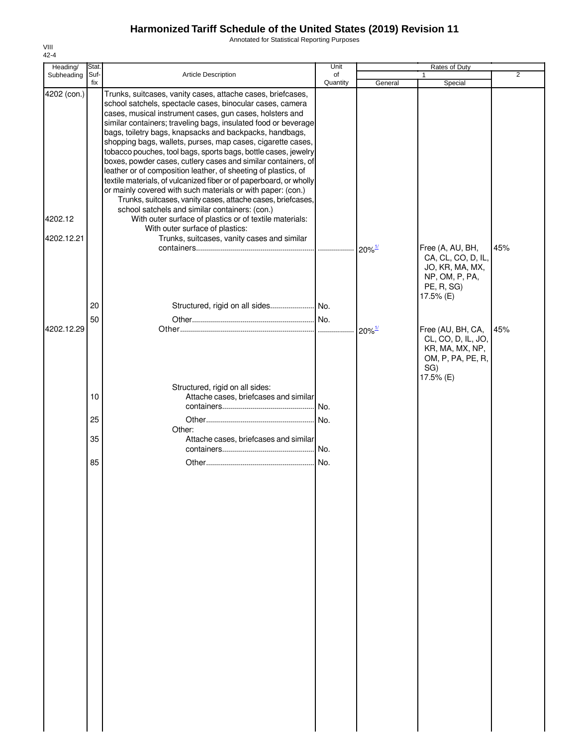Annotated for Statistical Reporting Purposes

| Heading/                             | Stat.                |                                                                                                                                                                                                                                                                                                                                                                                                                                                                                                                                                                                                                                                                                                                                                                                                                                                                                                                                                                                          | Unit                     | Rates of Duty                                |                                                                                                                                                                                           |                |
|--------------------------------------|----------------------|------------------------------------------------------------------------------------------------------------------------------------------------------------------------------------------------------------------------------------------------------------------------------------------------------------------------------------------------------------------------------------------------------------------------------------------------------------------------------------------------------------------------------------------------------------------------------------------------------------------------------------------------------------------------------------------------------------------------------------------------------------------------------------------------------------------------------------------------------------------------------------------------------------------------------------------------------------------------------------------|--------------------------|----------------------------------------------|-------------------------------------------------------------------------------------------------------------------------------------------------------------------------------------------|----------------|
| Subheading                           | Suf-<br>fix          | Article Description                                                                                                                                                                                                                                                                                                                                                                                                                                                                                                                                                                                                                                                                                                                                                                                                                                                                                                                                                                      | of<br>Quantity           | General                                      | Special                                                                                                                                                                                   | $\overline{2}$ |
| 4202 (con.)<br>4202.12<br>4202.12.21 |                      | Trunks, suitcases, vanity cases, attache cases, briefcases,<br>school satchels, spectacle cases, binocular cases, camera<br>cases, musical instrument cases, gun cases, holsters and<br>similar containers; traveling bags, insulated food or beverage<br>bags, toiletry bags, knapsacks and backpacks, handbags,<br>shopping bags, wallets, purses, map cases, cigarette cases,<br>tobacco pouches, tool bags, sports bags, bottle cases, jewelry<br>boxes, powder cases, cutlery cases and similar containers, of<br>leather or of composition leather, of sheeting of plastics, of<br>textile materials, of vulcanized fiber or of paperboard, or wholly<br>or mainly covered with such materials or with paper: (con.)<br>Trunks, suitcases, vanity cases, attache cases, briefcases,<br>school satchels and similar containers: (con.)<br>With outer surface of plastics or of textile materials:<br>With outer surface of plastics:<br>Trunks, suitcases, vanity cases and similar |                          |                                              |                                                                                                                                                                                           |                |
| 4202.12.29                           | 20<br>50             | Structured, rigid on all sides No.                                                                                                                                                                                                                                                                                                                                                                                                                                                                                                                                                                                                                                                                                                                                                                                                                                                                                                                                                       | .                        | $20\%$ <sup>1/</sup><br>$20\%$ <sup>1/</sup> | Free (A, AU, BH,<br>CA, CL, CO, D, IL,<br>JO, KR, MA, MX,<br>NP, OM, P, PA,<br>PE, R, SG)<br>17.5% (E)<br>Free (AU, BH, CA,<br>CL, CO, D, IL, JO,<br>KR, MA, MX, NP,<br>OM, P, PA, PE, R, | 45%<br>45%     |
|                                      | 10<br>25<br>35<br>85 | Structured, rigid on all sides:<br>Attache cases, briefcases and similar<br>Other:<br>Attache cases, briefcases and similar                                                                                                                                                                                                                                                                                                                                                                                                                                                                                                                                                                                                                                                                                                                                                                                                                                                              | No.<br>No.<br>No.<br>No. |                                              | SG)<br>17.5% (E)                                                                                                                                                                          |                |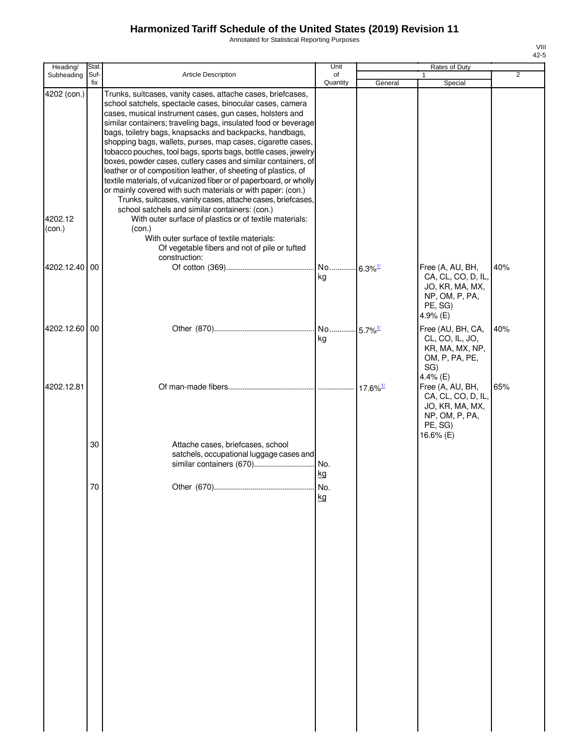Annotated for Statistical Reporting Purposes

| v |  |
|---|--|

| Heading/                         | Stat.       |                                                                                                                                                                                                                                                                                                                                                                                                                                                                                                                                                                                                                                                                                                                                                                                                                                                                                                                  | Unit                        | Rates of Duty          |                                                                                                    |                |
|----------------------------------|-------------|------------------------------------------------------------------------------------------------------------------------------------------------------------------------------------------------------------------------------------------------------------------------------------------------------------------------------------------------------------------------------------------------------------------------------------------------------------------------------------------------------------------------------------------------------------------------------------------------------------------------------------------------------------------------------------------------------------------------------------------------------------------------------------------------------------------------------------------------------------------------------------------------------------------|-----------------------------|------------------------|----------------------------------------------------------------------------------------------------|----------------|
| Subheading                       | Suf-<br>fix | Article Description                                                                                                                                                                                                                                                                                                                                                                                                                                                                                                                                                                                                                                                                                                                                                                                                                                                                                              | of<br>Quantity              | General                | 1<br>Special                                                                                       | $\overline{2}$ |
| 4202 (con.)<br>4202.12<br>(con.) |             | Trunks, suitcases, vanity cases, attache cases, briefcases,<br>school satchels, spectacle cases, binocular cases, camera<br>cases, musical instrument cases, gun cases, holsters and<br>similar containers; traveling bags, insulated food or beverage<br>bags, toiletry bags, knapsacks and backpacks, handbags,<br>shopping bags, wallets, purses, map cases, cigarette cases,<br>tobacco pouches, tool bags, sports bags, bottle cases, jewelry<br>boxes, powder cases, cutlery cases and similar containers, of<br>leather or of composition leather, of sheeting of plastics, of<br>textile materials, of vulcanized fiber or of paperboard, or wholly<br>or mainly covered with such materials or with paper: (con.)<br>Trunks, suitcases, vanity cases, attache cases, briefcases,<br>school satchels and similar containers: (con.)<br>With outer surface of plastics or of textile materials:<br>(con.) |                             |                        |                                                                                                    |                |
|                                  |             | With outer surface of textile materials:<br>Of vegetable fibers and not of pile or tufted<br>construction:                                                                                                                                                                                                                                                                                                                                                                                                                                                                                                                                                                                                                                                                                                                                                                                                       |                             |                        |                                                                                                    |                |
| 4202.12.40 00                    |             |                                                                                                                                                                                                                                                                                                                                                                                                                                                                                                                                                                                                                                                                                                                                                                                                                                                                                                                  | No<br>kg                    | $6.3\%$ <sup>1/</sup>  | Free (A, AU, BH,<br>CA, CL, CO, D, IL,<br>JO, KR, MA, MX,<br>NP, OM, P, PA,<br>PE, SG)<br>4.9% (E) | 40%            |
| 4202.12.60 00                    |             |                                                                                                                                                                                                                                                                                                                                                                                                                                                                                                                                                                                                                                                                                                                                                                                                                                                                                                                  | No 5.7% <sup>1/</sup><br>kg |                        | Free (AU, BH, CA,<br>CL, CO, IL, JO,<br>KR, MA, MX, NP,<br>OM, P, PA, PE,<br>SG)<br>4.4% (E)       | 40%            |
| 4202.12.81                       |             |                                                                                                                                                                                                                                                                                                                                                                                                                                                                                                                                                                                                                                                                                                                                                                                                                                                                                                                  |                             | $17.6\%$ <sup>1/</sup> | Free (A, AU, BH,<br>CA, CL, CO, D, IL,<br>JO, KR, MA, MX,<br>NP, OM, P, PA,<br>PE, SG)             | 65%            |
|                                  | 30          | Attache cases, briefcases, school<br>satchels, occupational luggage cases and<br>similar containers (670)                                                                                                                                                                                                                                                                                                                                                                                                                                                                                                                                                                                                                                                                                                                                                                                                        | No.<br><u>kg</u>            |                        | 16.6% (E)                                                                                          |                |
|                                  | 70          |                                                                                                                                                                                                                                                                                                                                                                                                                                                                                                                                                                                                                                                                                                                                                                                                                                                                                                                  | No.<br>kg                   |                        |                                                                                                    |                |
|                                  |             |                                                                                                                                                                                                                                                                                                                                                                                                                                                                                                                                                                                                                                                                                                                                                                                                                                                                                                                  |                             |                        |                                                                                                    |                |
|                                  |             |                                                                                                                                                                                                                                                                                                                                                                                                                                                                                                                                                                                                                                                                                                                                                                                                                                                                                                                  |                             |                        |                                                                                                    |                |
|                                  |             |                                                                                                                                                                                                                                                                                                                                                                                                                                                                                                                                                                                                                                                                                                                                                                                                                                                                                                                  |                             |                        |                                                                                                    |                |
|                                  |             |                                                                                                                                                                                                                                                                                                                                                                                                                                                                                                                                                                                                                                                                                                                                                                                                                                                                                                                  |                             |                        |                                                                                                    |                |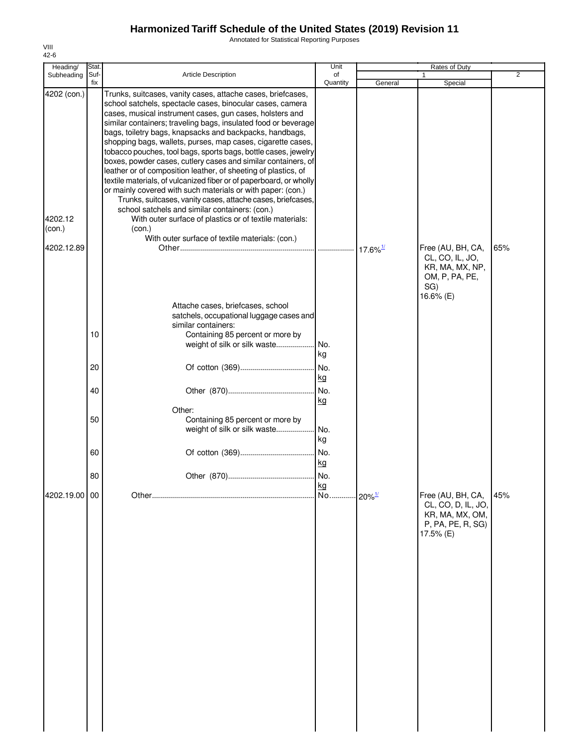Annotated for Statistical Reporting Purposes

| Heading/      | Stat. |                                                                                                                                 | Unit     |                        | Rates of Duty                           |                |
|---------------|-------|---------------------------------------------------------------------------------------------------------------------------------|----------|------------------------|-----------------------------------------|----------------|
| Subheading    | Suf-  | <b>Article Description</b>                                                                                                      | of       |                        |                                         | $\overline{2}$ |
| 4202 (con.)   | fix   | Trunks, suitcases, vanity cases, attache cases, briefcases,                                                                     | Quantity | General                | Special                                 |                |
|               |       | school satchels, spectacle cases, binocular cases, camera                                                                       |          |                        |                                         |                |
|               |       | cases, musical instrument cases, gun cases, holsters and<br>similar containers; traveling bags, insulated food or beverage      |          |                        |                                         |                |
|               |       | bags, toiletry bags, knapsacks and backpacks, handbags,                                                                         |          |                        |                                         |                |
|               |       | shopping bags, wallets, purses, map cases, cigarette cases,                                                                     |          |                        |                                         |                |
|               |       | tobacco pouches, tool bags, sports bags, bottle cases, jewelry                                                                  |          |                        |                                         |                |
|               |       | boxes, powder cases, cutlery cases and similar containers, of<br>leather or of composition leather, of sheeting of plastics, of |          |                        |                                         |                |
|               |       | textile materials, of vulcanized fiber or of paperboard, or wholly                                                              |          |                        |                                         |                |
|               |       | or mainly covered with such materials or with paper: (con.)                                                                     |          |                        |                                         |                |
|               |       | Trunks, suitcases, vanity cases, attache cases, briefcases,<br>school satchels and similar containers: (con.)                   |          |                        |                                         |                |
| 4202.12       |       | With outer surface of plastics or of textile materials:                                                                         |          |                        |                                         |                |
| (con.)        |       | (con.)                                                                                                                          |          |                        |                                         |                |
| 4202.12.89    |       | With outer surface of textile materials: (con.)                                                                                 |          |                        |                                         |                |
|               |       |                                                                                                                                 |          |                        | Free (AU, BH, CA,<br>CL, CO, IL, JO,    | 65%            |
|               |       |                                                                                                                                 |          |                        | KR, MA, MX, NP,                         |                |
|               |       |                                                                                                                                 |          |                        | OM, P, PA, PE,                          |                |
|               |       |                                                                                                                                 |          |                        | SG)<br>16.6% (E)                        |                |
|               |       | Attache cases, briefcases, school                                                                                               |          |                        |                                         |                |
|               |       | satchels, occupational luggage cases and                                                                                        |          |                        |                                         |                |
|               |       | similar containers:                                                                                                             |          |                        |                                         |                |
|               | 10    | Containing 85 percent or more by<br>weight of silk or silk waste                                                                | No.      |                        |                                         |                |
|               |       |                                                                                                                                 | kg       |                        |                                         |                |
|               | 20    |                                                                                                                                 | No.      |                        |                                         |                |
|               |       |                                                                                                                                 | kg       |                        |                                         |                |
|               | 40    |                                                                                                                                 | No.      |                        |                                         |                |
|               |       |                                                                                                                                 | kg       |                        |                                         |                |
|               | 50    | Other:<br>Containing 85 percent or more by                                                                                      |          |                        |                                         |                |
|               |       | weight of silk or silk waste                                                                                                    | No.      |                        |                                         |                |
|               |       |                                                                                                                                 | kg       |                        |                                         |                |
|               | 60    |                                                                                                                                 | No.      |                        |                                         |                |
|               |       |                                                                                                                                 | kg       |                        |                                         |                |
|               | 80    |                                                                                                                                 |          |                        |                                         |                |
| 4202.19.00 00 |       |                                                                                                                                 | kg<br>No |                        |                                         | 45%            |
|               |       |                                                                                                                                 |          | $.120\%$ <sup>1/</sup> | Free (AU, BH, CA,<br>CL, CO, D, IL, JO, |                |
|               |       |                                                                                                                                 |          |                        | KR, MA, MX, OM,                         |                |
|               |       |                                                                                                                                 |          |                        | P, PA, PE, R, SG)                       |                |
|               |       |                                                                                                                                 |          |                        | 17.5% (E)                               |                |
|               |       |                                                                                                                                 |          |                        |                                         |                |
|               |       |                                                                                                                                 |          |                        |                                         |                |
|               |       |                                                                                                                                 |          |                        |                                         |                |
|               |       |                                                                                                                                 |          |                        |                                         |                |
|               |       |                                                                                                                                 |          |                        |                                         |                |
|               |       |                                                                                                                                 |          |                        |                                         |                |
|               |       |                                                                                                                                 |          |                        |                                         |                |
|               |       |                                                                                                                                 |          |                        |                                         |                |
|               |       |                                                                                                                                 |          |                        |                                         |                |
|               |       |                                                                                                                                 |          |                        |                                         |                |
|               |       |                                                                                                                                 |          |                        |                                         |                |
|               |       |                                                                                                                                 |          |                        |                                         |                |
|               |       |                                                                                                                                 |          |                        |                                         |                |
|               |       |                                                                                                                                 |          |                        |                                         |                |
|               |       |                                                                                                                                 |          |                        |                                         |                |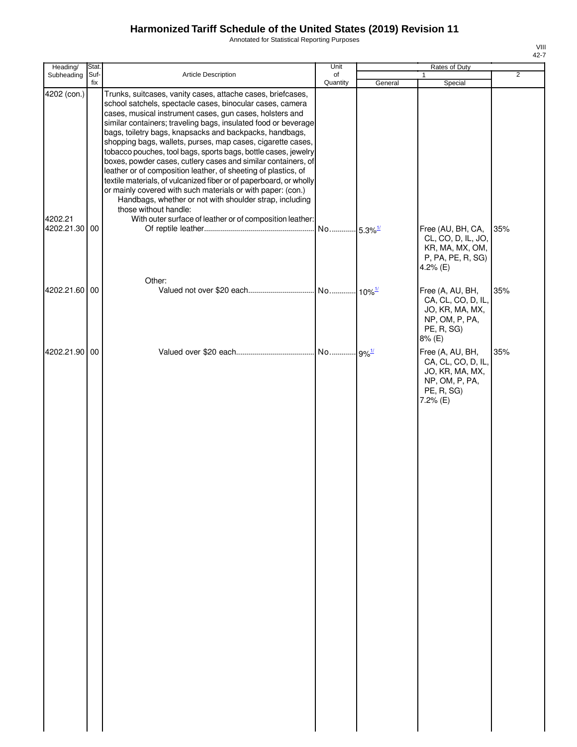Annotated for Statistical Reporting Purposes

| Heading/                             | Stat.     |                                                                                                                                                                                                                                                                                                                                                                                                                                                                                                                                                                                                                                                                                                                                                                                                                                                                            | Unit     |         | Rates of Duty                                                                                         |                |
|--------------------------------------|-----------|----------------------------------------------------------------------------------------------------------------------------------------------------------------------------------------------------------------------------------------------------------------------------------------------------------------------------------------------------------------------------------------------------------------------------------------------------------------------------------------------------------------------------------------------------------------------------------------------------------------------------------------------------------------------------------------------------------------------------------------------------------------------------------------------------------------------------------------------------------------------------|----------|---------|-------------------------------------------------------------------------------------------------------|----------------|
| Subheading                           | Suf-      | Article Description                                                                                                                                                                                                                                                                                                                                                                                                                                                                                                                                                                                                                                                                                                                                                                                                                                                        | of       |         | $\mathbf{1}$                                                                                          | $\overline{2}$ |
| 4202 (con.)<br>4202.21<br>4202.21.30 | fix<br>00 | Trunks, suitcases, vanity cases, attache cases, briefcases,<br>school satchels, spectacle cases, binocular cases, camera<br>cases, musical instrument cases, gun cases, holsters and<br>similar containers; traveling bags, insulated food or beverage<br>bags, toiletry bags, knapsacks and backpacks, handbags,<br>shopping bags, wallets, purses, map cases, cigarette cases,<br>tobacco pouches, tool bags, sports bags, bottle cases, jewelry<br>boxes, powder cases, cutlery cases and similar containers, of<br>leather or of composition leather, of sheeting of plastics, of<br>textile materials, of vulcanized fiber or of paperboard, or wholly<br>or mainly covered with such materials or with paper: (con.)<br>Handbags, whether or not with shoulder strap, including<br>those without handle:<br>With outer surface of leather or of composition leather: | Quantity | General | Special<br>Free (AU, BH, CA,<br>CL, CO, D, IL, JO,                                                    | 35%            |
|                                      |           | Other:                                                                                                                                                                                                                                                                                                                                                                                                                                                                                                                                                                                                                                                                                                                                                                                                                                                                     |          |         | KR, MA, MX, OM,<br>P, PA, PE, R, SG)<br>4.2% $(E)$                                                    |                |
| 4202.21.60                           | 00        |                                                                                                                                                                                                                                                                                                                                                                                                                                                                                                                                                                                                                                                                                                                                                                                                                                                                            |          |         | Free (A, AU, BH,<br>CA, CL, CO, D, IL,<br>JO, KR, MA, MX,<br>NP, OM, P, PA,<br>PE, R, SG)<br>8% (E)   | 35%            |
| 4202.21.90                           | 00        |                                                                                                                                                                                                                                                                                                                                                                                                                                                                                                                                                                                                                                                                                                                                                                                                                                                                            |          |         | Free (A, AU, BH,<br>CA, CL, CO, D, IL,<br>JO, KR, MA, MX,<br>NP, OM, P, PA,<br>PE, R, SG)<br>7.2% (E) | 35%            |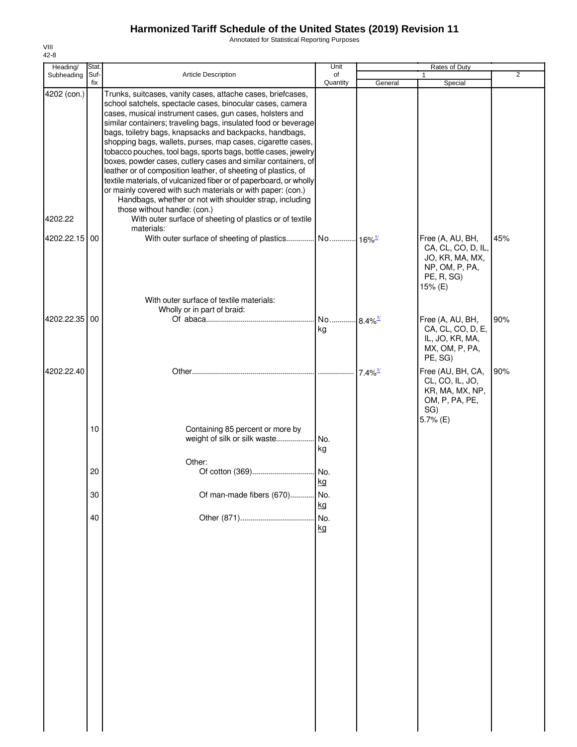Annotated for Statistical Reporting Purposes

| Heading/               | Stat.       |                                                                                                                                                                                                                                                                                                                                                                                                                                                                                                                                                                                                                                                                                                                                                                                                                                                                                   | Unit                        |                       | Rates of Duty                                                                                        |                |
|------------------------|-------------|-----------------------------------------------------------------------------------------------------------------------------------------------------------------------------------------------------------------------------------------------------------------------------------------------------------------------------------------------------------------------------------------------------------------------------------------------------------------------------------------------------------------------------------------------------------------------------------------------------------------------------------------------------------------------------------------------------------------------------------------------------------------------------------------------------------------------------------------------------------------------------------|-----------------------------|-----------------------|------------------------------------------------------------------------------------------------------|----------------|
| Subheading             | Suf-<br>fix | <b>Article Description</b>                                                                                                                                                                                                                                                                                                                                                                                                                                                                                                                                                                                                                                                                                                                                                                                                                                                        | of<br>Quantity              | General               | 1<br>Special                                                                                         | $\overline{2}$ |
| 4202 (con.)<br>4202.22 |             | Trunks, suitcases, vanity cases, attache cases, briefcases,<br>school satchels, spectacle cases, binocular cases, camera<br>cases, musical instrument cases, gun cases, holsters and<br>similar containers; traveling bags, insulated food or beverage<br>bags, toiletry bags, knapsacks and backpacks, handbags,<br>shopping bags, wallets, purses, map cases, cigarette cases,<br>tobacco pouches, tool bags, sports bags, bottle cases, jewelry<br>boxes, powder cases, cutlery cases and similar containers, of<br>leather or of composition leather, of sheeting of plastics, of<br>textile materials, of vulcanized fiber or of paperboard, or wholly<br>or mainly covered with such materials or with paper: (con.)<br>Handbags, whether or not with shoulder strap, including<br>those without handle: (con.)<br>With outer surface of sheeting of plastics or of textile |                             |                       |                                                                                                      |                |
|                        |             | materials:                                                                                                                                                                                                                                                                                                                                                                                                                                                                                                                                                                                                                                                                                                                                                                                                                                                                        |                             |                       |                                                                                                      |                |
| 4202.22.15 00          |             |                                                                                                                                                                                                                                                                                                                                                                                                                                                                                                                                                                                                                                                                                                                                                                                                                                                                                   |                             |                       | Free (A, AU, BH,<br>CA, CL, CO, D, IL,<br>JO, KR, MA, MX,<br>NP, OM, P, PA,<br>PE, R, SG)<br>15% (E) | 45%            |
|                        |             | With outer surface of textile materials:                                                                                                                                                                                                                                                                                                                                                                                                                                                                                                                                                                                                                                                                                                                                                                                                                                          |                             |                       |                                                                                                      |                |
| 4202.22.35 00          |             | Wholly or in part of braid:                                                                                                                                                                                                                                                                                                                                                                                                                                                                                                                                                                                                                                                                                                                                                                                                                                                       | No 8.4% <sup>1/</sup><br>kg |                       | Free (A, AU, BH,<br>CA, CL, CO, D, E,<br>IL, JO, KR, MA,<br>MX, OM, P, PA,<br>PE, SG)                | 90%            |
| 4202.22.40             |             |                                                                                                                                                                                                                                                                                                                                                                                                                                                                                                                                                                                                                                                                                                                                                                                                                                                                                   |                             | $7.4\%$ <sup>1/</sup> | Free (AU, BH, CA,<br>CL, CO, IL, JO,<br>KR, MA, MX, NP,<br>OM, P, PA, PE,<br>SG)<br>5.7% (E)         | 90%            |
|                        | 10          | Containing 85 percent or more by<br>weight of silk or silk waste                                                                                                                                                                                                                                                                                                                                                                                                                                                                                                                                                                                                                                                                                                                                                                                                                  | No.<br>kg                   |                       |                                                                                                      |                |
|                        |             | Other:                                                                                                                                                                                                                                                                                                                                                                                                                                                                                                                                                                                                                                                                                                                                                                                                                                                                            |                             |                       |                                                                                                      |                |
|                        | 20          |                                                                                                                                                                                                                                                                                                                                                                                                                                                                                                                                                                                                                                                                                                                                                                                                                                                                                   | kg                          |                       |                                                                                                      |                |
|                        | 30          | Of man-made fibers (670)                                                                                                                                                                                                                                                                                                                                                                                                                                                                                                                                                                                                                                                                                                                                                                                                                                                          | No.                         |                       |                                                                                                      |                |
|                        | 40          |                                                                                                                                                                                                                                                                                                                                                                                                                                                                                                                                                                                                                                                                                                                                                                                                                                                                                   | kg<br>No.<br>kg             |                       |                                                                                                      |                |
|                        |             |                                                                                                                                                                                                                                                                                                                                                                                                                                                                                                                                                                                                                                                                                                                                                                                                                                                                                   |                             |                       |                                                                                                      |                |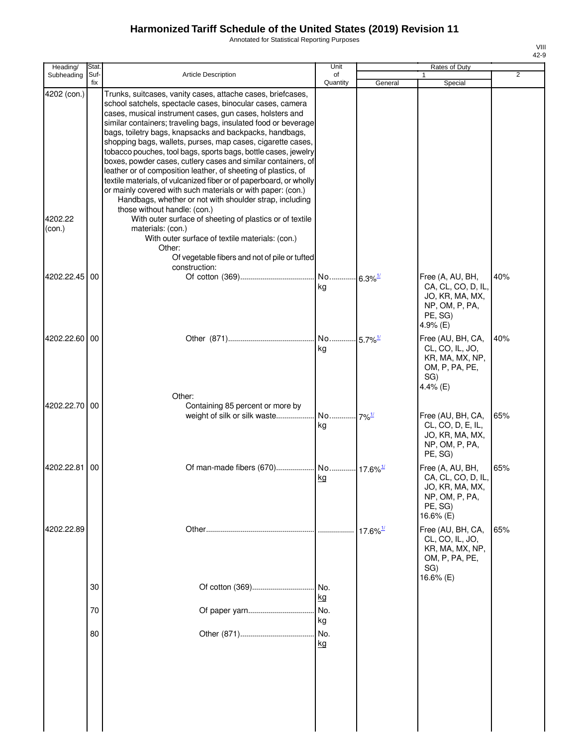Annotated for Statistical Reporting Purposes

| ۰, |  |
|----|--|

| Heading/                         | Stat.       |                                                                                                                                                                                                                                                                                                                                                                                                                                                                                                                                                                                                                                                                                                                                                                                                                                                                                                                                                           | Unit                        |                        | Rates of Duty                                                                                       |                |
|----------------------------------|-------------|-----------------------------------------------------------------------------------------------------------------------------------------------------------------------------------------------------------------------------------------------------------------------------------------------------------------------------------------------------------------------------------------------------------------------------------------------------------------------------------------------------------------------------------------------------------------------------------------------------------------------------------------------------------------------------------------------------------------------------------------------------------------------------------------------------------------------------------------------------------------------------------------------------------------------------------------------------------|-----------------------------|------------------------|-----------------------------------------------------------------------------------------------------|----------------|
| Subheading                       | Suf-<br>fix | <b>Article Description</b>                                                                                                                                                                                                                                                                                                                                                                                                                                                                                                                                                                                                                                                                                                                                                                                                                                                                                                                                | of<br>Quantity              | General                | 1<br>Special                                                                                        | $\overline{2}$ |
| 4202 (con.)<br>4202.22<br>(con.) |             | Trunks, suitcases, vanity cases, attache cases, briefcases,<br>school satchels, spectacle cases, binocular cases, camera<br>cases, musical instrument cases, gun cases, holsters and<br>similar containers; traveling bags, insulated food or beverage<br>bags, toiletry bags, knapsacks and backpacks, handbags,<br>shopping bags, wallets, purses, map cases, cigarette cases,<br>tobacco pouches, tool bags, sports bags, bottle cases, jewelry<br>boxes, powder cases, cutlery cases and similar containers, of<br>leather or of composition leather, of sheeting of plastics, of<br>textile materials, of vulcanized fiber or of paperboard, or wholly<br>or mainly covered with such materials or with paper: (con.)<br>Handbags, whether or not with shoulder strap, including<br>those without handle: (con.)<br>With outer surface of sheeting of plastics or of textile<br>materials: (con.)<br>With outer surface of textile materials: (con.) |                             |                        |                                                                                                     |                |
|                                  |             | Other:<br>Of vegetable fibers and not of pile or tufted                                                                                                                                                                                                                                                                                                                                                                                                                                                                                                                                                                                                                                                                                                                                                                                                                                                                                                   |                             |                        |                                                                                                     |                |
| 4202.22.45 00                    |             | construction:                                                                                                                                                                                                                                                                                                                                                                                                                                                                                                                                                                                                                                                                                                                                                                                                                                                                                                                                             |                             |                        |                                                                                                     | 40%            |
|                                  |             |                                                                                                                                                                                                                                                                                                                                                                                                                                                                                                                                                                                                                                                                                                                                                                                                                                                                                                                                                           | kg                          |                        | Free (A, AU, BH,<br>CA, CL, CO, D, IL,<br>JO, KR, MA, MX,<br>NP, OM, P, PA,<br>PE, SG)<br>4.9% (E)  |                |
| 4202.22.60   00                  |             |                                                                                                                                                                                                                                                                                                                                                                                                                                                                                                                                                                                                                                                                                                                                                                                                                                                                                                                                                           | No 5.7% <sup>1/</sup><br>kg |                        | Free (AU, BH, CA,<br>CL, CO, IL, JO,<br>KR, MA, MX, NP,<br>OM, P, PA, PE,<br>SG)<br>4.4% (E)        | 40%            |
| 4202.22.70 00                    |             | Other:<br>Containing 85 percent or more by                                                                                                                                                                                                                                                                                                                                                                                                                                                                                                                                                                                                                                                                                                                                                                                                                                                                                                                |                             |                        |                                                                                                     |                |
|                                  |             | weight of silk or silk waste                                                                                                                                                                                                                                                                                                                                                                                                                                                                                                                                                                                                                                                                                                                                                                                                                                                                                                                              | No 7% <sup>1/</sup><br>kg   |                        | Free (AU, BH, CA,<br>CL, CO, D, E, IL,<br>JO, KR, MA, MX,<br>NP, OM, P, PA,<br>PE, SG)              | 65%            |
| 4202.22.81                       | 00          |                                                                                                                                                                                                                                                                                                                                                                                                                                                                                                                                                                                                                                                                                                                                                                                                                                                                                                                                                           | kg                          |                        | Free (A, AU, BH,<br>CA, CL, CO, D, IL,<br>JO, KR, MA, MX,<br>NP, OM, P, PA,<br>PE, SG)<br>16.6% (E) | 65%            |
| 4202.22.89                       |             |                                                                                                                                                                                                                                                                                                                                                                                                                                                                                                                                                                                                                                                                                                                                                                                                                                                                                                                                                           |                             | $17.6\%$ <sup>1/</sup> | Free (AU, BH, CA,<br>CL, CO, IL, JO,<br>KR, MA, MX, NP,<br>OM, P, PA, PE,<br>SG)                    | 65%            |
|                                  | 30          |                                                                                                                                                                                                                                                                                                                                                                                                                                                                                                                                                                                                                                                                                                                                                                                                                                                                                                                                                           | kg                          |                        | 16.6% (E)                                                                                           |                |
|                                  | 70          |                                                                                                                                                                                                                                                                                                                                                                                                                                                                                                                                                                                                                                                                                                                                                                                                                                                                                                                                                           | No.                         |                        |                                                                                                     |                |
|                                  | 80          |                                                                                                                                                                                                                                                                                                                                                                                                                                                                                                                                                                                                                                                                                                                                                                                                                                                                                                                                                           | kg<br>No.<br><u>kg</u>      |                        |                                                                                                     |                |
|                                  |             |                                                                                                                                                                                                                                                                                                                                                                                                                                                                                                                                                                                                                                                                                                                                                                                                                                                                                                                                                           |                             |                        |                                                                                                     |                |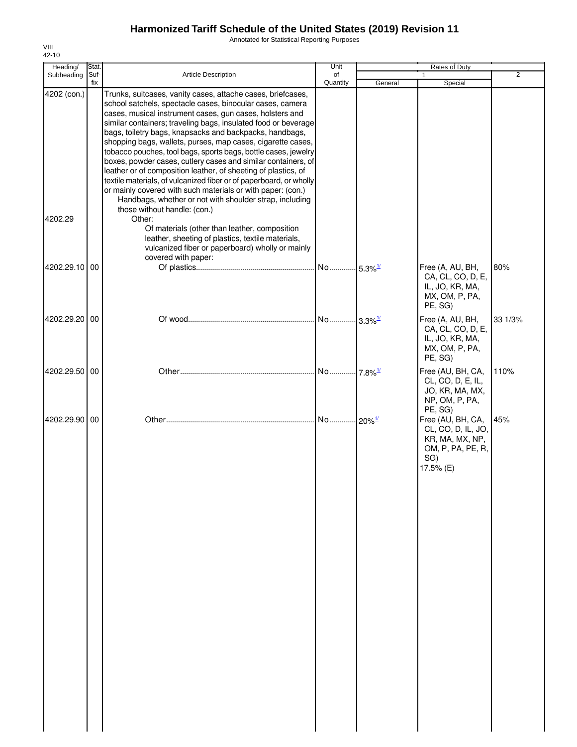Annotated for Statistical Reporting Purposes

| Heading/               | Stat.       |                                                                                                                                                                                                                                                                                                                                                                                                                                                                                                                                                                                                                                                                                                                                                                                                                                 | Unit                  |         | Rates of Duty                                                                                       |                |
|------------------------|-------------|---------------------------------------------------------------------------------------------------------------------------------------------------------------------------------------------------------------------------------------------------------------------------------------------------------------------------------------------------------------------------------------------------------------------------------------------------------------------------------------------------------------------------------------------------------------------------------------------------------------------------------------------------------------------------------------------------------------------------------------------------------------------------------------------------------------------------------|-----------------------|---------|-----------------------------------------------------------------------------------------------------|----------------|
| Subheading             | Suf-<br>fix | <b>Article Description</b>                                                                                                                                                                                                                                                                                                                                                                                                                                                                                                                                                                                                                                                                                                                                                                                                      | of<br>Quantity        | General | 1<br>Special                                                                                        | $\overline{2}$ |
| 4202 (con.)<br>4202.29 |             | Trunks, suitcases, vanity cases, attache cases, briefcases,<br>school satchels, spectacle cases, binocular cases, camera<br>cases, musical instrument cases, gun cases, holsters and<br>similar containers; traveling bags, insulated food or beverage<br>bags, toiletry bags, knapsacks and backpacks, handbags,<br>shopping bags, wallets, purses, map cases, cigarette cases,<br>tobacco pouches, tool bags, sports bags, bottle cases, jewelry<br>boxes, powder cases, cutlery cases and similar containers, of<br>leather or of composition leather, of sheeting of plastics, of<br>textile materials, of vulcanized fiber or of paperboard, or wholly<br>or mainly covered with such materials or with paper: (con.)<br>Handbags, whether or not with shoulder strap, including<br>those without handle: (con.)<br>Other: |                       |         |                                                                                                     |                |
|                        |             | Of materials (other than leather, composition<br>leather, sheeting of plastics, textile materials,<br>vulcanized fiber or paperboard) wholly or mainly<br>covered with paper:                                                                                                                                                                                                                                                                                                                                                                                                                                                                                                                                                                                                                                                   |                       |         |                                                                                                     |                |
| 4202.29.10             | 00          |                                                                                                                                                                                                                                                                                                                                                                                                                                                                                                                                                                                                                                                                                                                                                                                                                                 | No 5.3% <sup>1/</sup> |         | Free (A, AU, BH,<br>CA, CL, CO, D, E,<br>IL, JO, KR, MA,<br>MX, OM, P, PA,<br>PE, SG)               | 80%            |
| 4202.29.20 00          |             |                                                                                                                                                                                                                                                                                                                                                                                                                                                                                                                                                                                                                                                                                                                                                                                                                                 |                       |         | Free (A, AU, BH,<br>CA, CL, CO, D, E,<br>IL, JO, KR, MA,<br>MX, OM, P, PA,<br>PE, SG)               | 33 1/3%        |
| 4202.29.50             | 00          |                                                                                                                                                                                                                                                                                                                                                                                                                                                                                                                                                                                                                                                                                                                                                                                                                                 | No 7.8% <sup>1/</sup> |         | Free (AU, BH, CA,<br>CL, CO, D, E, IL,<br>JO, KR, MA, MX,<br>NP, OM, P, PA,<br>PE, SG)              | 110%           |
| 4202.29.90 00          |             |                                                                                                                                                                                                                                                                                                                                                                                                                                                                                                                                                                                                                                                                                                                                                                                                                                 | No 20% <sup>1/</sup>  |         | Free (AU, BH, CA,<br>CL, CO, D, IL, JO,<br>KR, MA, MX, NP,<br>OM, P, PA, PE, R,<br>SG)<br>17.5% (E) | 45%            |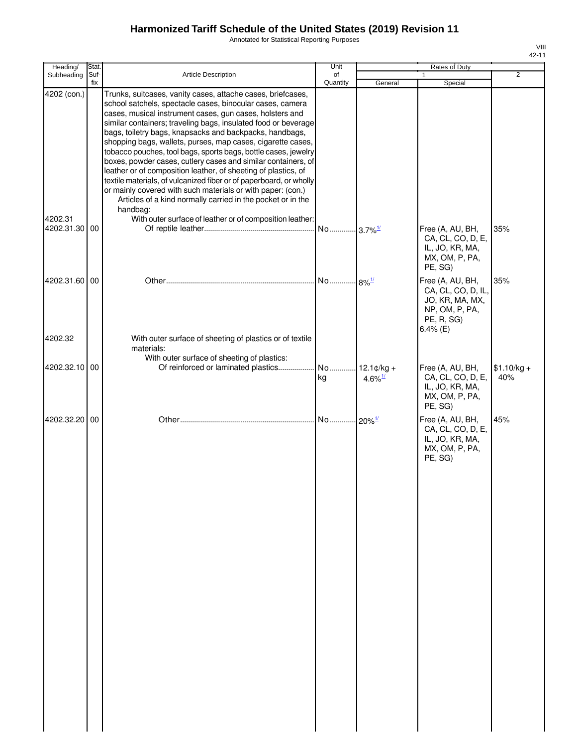Annotated for Statistical Reporting Purposes

|   | VIII<br>42-11 |
|---|---------------|
|   |               |
| 2 |               |
|   |               |

VIII

| Heading/              | Stat.       |                                                                                                                                                                                                                                                                                                                                                                                                                                                                                                                                                                                                                                                                                                                                                                                                       | Unit                  |                       | Rates of Duty                                                                                            |                     |
|-----------------------|-------------|-------------------------------------------------------------------------------------------------------------------------------------------------------------------------------------------------------------------------------------------------------------------------------------------------------------------------------------------------------------------------------------------------------------------------------------------------------------------------------------------------------------------------------------------------------------------------------------------------------------------------------------------------------------------------------------------------------------------------------------------------------------------------------------------------------|-----------------------|-----------------------|----------------------------------------------------------------------------------------------------------|---------------------|
| Subheading            | Suf-<br>fix | <b>Article Description</b>                                                                                                                                                                                                                                                                                                                                                                                                                                                                                                                                                                                                                                                                                                                                                                            | of<br>Quantity        | General               | Special                                                                                                  | $\overline{2}$      |
| 4202 (con.)           |             | Trunks, suitcases, vanity cases, attache cases, briefcases,<br>school satchels, spectacle cases, binocular cases, camera<br>cases, musical instrument cases, gun cases, holsters and<br>similar containers; traveling bags, insulated food or beverage<br>bags, toiletry bags, knapsacks and backpacks, handbags,<br>shopping bags, wallets, purses, map cases, cigarette cases,<br>tobacco pouches, tool bags, sports bags, bottle cases, jewelry<br>boxes, powder cases, cutlery cases and similar containers, of<br>leather or of composition leather, of sheeting of plastics, of<br>textile materials, of vulcanized fiber or of paperboard, or wholly<br>or mainly covered with such materials or with paper: (con.)<br>Articles of a kind normally carried in the pocket or in the<br>handbag: |                       |                       |                                                                                                          |                     |
| 4202.31<br>4202.31.30 | 00          | With outer surface of leather or of composition leather:                                                                                                                                                                                                                                                                                                                                                                                                                                                                                                                                                                                                                                                                                                                                              | No 3.7% <sup>1/</sup> |                       | Free (A, AU, BH,<br>CA, CL, CO, D, E,<br>IL, JO, KR, MA,<br>MX, OM, P, PA,<br>PE, SG)                    | 35%                 |
| 4202.31.60            | 00          |                                                                                                                                                                                                                                                                                                                                                                                                                                                                                                                                                                                                                                                                                                                                                                                                       | No 8% <sup>1/</sup>   |                       | Free (A, AU, BH,<br>CA, CL, CO, D, IL,<br>JO, KR, MA, MX,<br>NP, OM, P, PA,<br>PE, R, SG)<br>$6.4\%$ (E) | 35%                 |
| 4202.32               |             | With outer surface of sheeting of plastics or of textile<br>materials:                                                                                                                                                                                                                                                                                                                                                                                                                                                                                                                                                                                                                                                                                                                                |                       |                       |                                                                                                          |                     |
| 4202.32.10 00         |             | With outer surface of sheeting of plastics:<br>Of reinforced or laminated plastics                                                                                                                                                                                                                                                                                                                                                                                                                                                                                                                                                                                                                                                                                                                    | No 12.1¢/kg +<br>kg   | $4.6\%$ <sup>1/</sup> | Free (A, AU, BH,<br>CA, CL, CO, D, E,<br>IL, JO, KR, MA,<br>MX, OM, P, PA,<br>PE, SG)                    | $$1.10/kg +$<br>40% |
| 4202.32.20            | 00          |                                                                                                                                                                                                                                                                                                                                                                                                                                                                                                                                                                                                                                                                                                                                                                                                       | No 20% <sup>1/</sup>  |                       | Free (A, AU, BH,<br>CA, CL, CO, D, E,<br>IL, JO, KR, MA,<br>MX, OM, P, PA,<br>PE, SG)                    | 45%                 |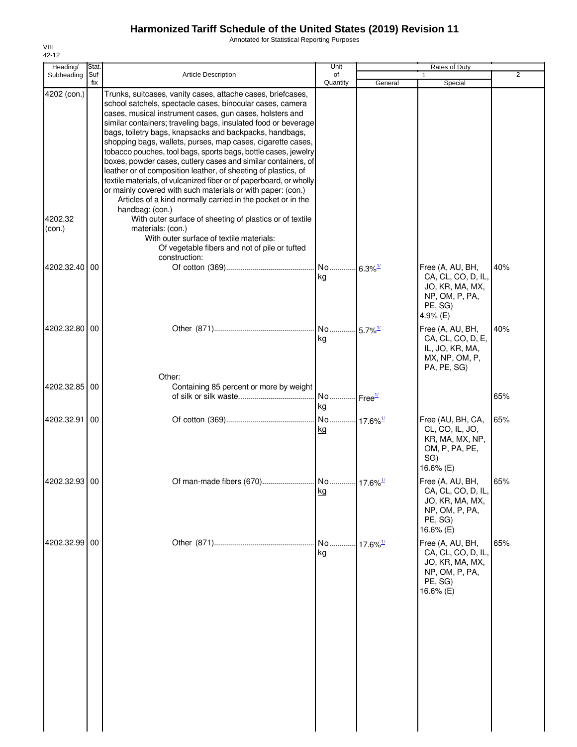Annotated for Statistical Reporting Purposes

| Heading/          | Stat.       |                                                                                                                                                                                                                                                                                                                                                                                                                                                                                                                                                                                                                                                                                                                                                                                                              | Unit                        |                     | Rates of Duty                                                                                       |     |
|-------------------|-------------|--------------------------------------------------------------------------------------------------------------------------------------------------------------------------------------------------------------------------------------------------------------------------------------------------------------------------------------------------------------------------------------------------------------------------------------------------------------------------------------------------------------------------------------------------------------------------------------------------------------------------------------------------------------------------------------------------------------------------------------------------------------------------------------------------------------|-----------------------------|---------------------|-----------------------------------------------------------------------------------------------------|-----|
| Subheading        | Suf-<br>fix | <b>Article Description</b>                                                                                                                                                                                                                                                                                                                                                                                                                                                                                                                                                                                                                                                                                                                                                                                   | of<br>Quantity              | General             | 1<br>Special                                                                                        | 2   |
| 4202 (con.)       |             | Trunks, suitcases, vanity cases, attache cases, briefcases,<br>school satchels, spectacle cases, binocular cases, camera<br>cases, musical instrument cases, gun cases, holsters and<br>similar containers; traveling bags, insulated food or beverage<br>bags, toiletry bags, knapsacks and backpacks, handbags,<br>shopping bags, wallets, purses, map cases, cigarette cases,<br>tobacco pouches, tool bags, sports bags, bottle cases, jewelry<br>boxes, powder cases, cutlery cases and similar containers, of<br>leather or of composition leather, of sheeting of plastics, of<br>textile materials, of vulcanized fiber or of paperboard, or wholly<br>or mainly covered with such materials or with paper: (con.)<br>Articles of a kind normally carried in the pocket or in the<br>handbag: (con.) |                             |                     |                                                                                                     |     |
| 4202.32<br>(con.) |             | With outer surface of sheeting of plastics or of textile<br>materials: (con.)<br>With outer surface of textile materials:<br>Of vegetable fibers and not of pile or tufted<br>construction:                                                                                                                                                                                                                                                                                                                                                                                                                                                                                                                                                                                                                  |                             |                     |                                                                                                     |     |
| 4202.32.40        | 00          |                                                                                                                                                                                                                                                                                                                                                                                                                                                                                                                                                                                                                                                                                                                                                                                                              | No 6.3% <sup>1/</sup><br>kg |                     | Free (A, AU, BH,<br>CA, CL, CO, D, IL,<br>JO, KR, MA, MX,<br>NP, OM, P, PA,<br>PE, SG)<br>4.9% (E)  | 40% |
| 4202.32.80 00     |             | Other:                                                                                                                                                                                                                                                                                                                                                                                                                                                                                                                                                                                                                                                                                                                                                                                                       | No 5.7% <sup>1/</sup><br>kg |                     | Free (A, AU, BH,<br>CA, CL, CO, D, E,<br>IL, JO, KR, MA,<br>MX, NP, OM, P,<br>PA, PE, SG)           | 40% |
| 4202.32.85 00     |             | Containing 85 percent or more by weight                                                                                                                                                                                                                                                                                                                                                                                                                                                                                                                                                                                                                                                                                                                                                                      | No Free <sup>1/</sup><br>kg |                     |                                                                                                     | 65% |
| 4202.32.91        | 00          |                                                                                                                                                                                                                                                                                                                                                                                                                                                                                                                                                                                                                                                                                                                                                                                                              | kg                          |                     | Free (AU, BH, CA,<br>CL, CO, IL, JO,<br>KR, MA, MX, NP,<br>OM, P, PA, PE,<br>SG)<br>16.6% (E)       | 65% |
| 42023293100       |             | Of man-made fibers (670)                                                                                                                                                                                                                                                                                                                                                                                                                                                                                                                                                                                                                                                                                                                                                                                     | No<br>kg                    | 17.6% $\frac{1}{2}$ | Free (A, AU, BH,<br>CA, CL, CO, D, IL,<br>JO, KR, MA, MX,<br>NP, OM, P, PA,<br>PE, SG)<br>16.6% (E) | 65% |
| 4202.32.99 00     |             |                                                                                                                                                                                                                                                                                                                                                                                                                                                                                                                                                                                                                                                                                                                                                                                                              | <u>kg</u>                   |                     | Free (A, AU, BH,<br>CA, CL, CO, D, IL,<br>JO, KR, MA, MX,<br>NP, OM, P, PA,<br>PE, SG)<br>16.6% (E) | 65% |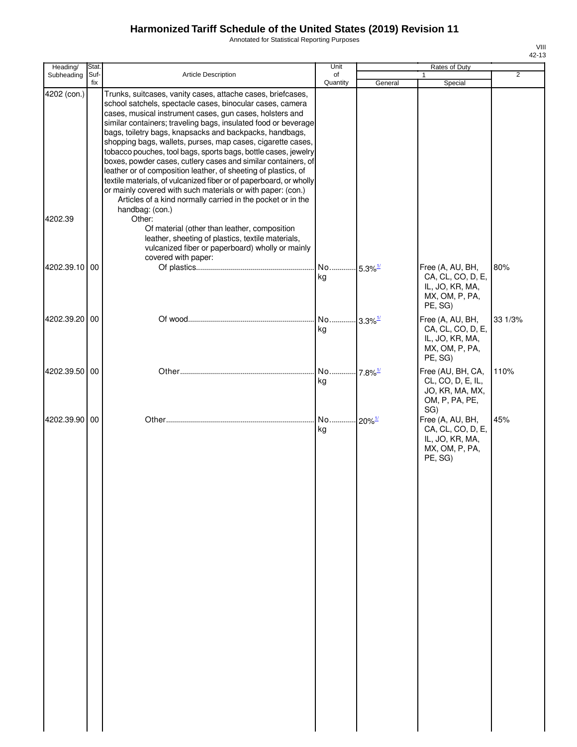Annotated for Statistical Reporting Purposes

| Heading/      | Stat.       |                                                                                                                                                                                                                                                                                                                                                                                                                                                                                                                                                                                                                                                                                                                                                                                                              | Unit                        |                        | Rates of Duty                                                                         | 42-13   |
|---------------|-------------|--------------------------------------------------------------------------------------------------------------------------------------------------------------------------------------------------------------------------------------------------------------------------------------------------------------------------------------------------------------------------------------------------------------------------------------------------------------------------------------------------------------------------------------------------------------------------------------------------------------------------------------------------------------------------------------------------------------------------------------------------------------------------------------------------------------|-----------------------------|------------------------|---------------------------------------------------------------------------------------|---------|
| Subheading    | Suf-<br>fix | <b>Article Description</b>                                                                                                                                                                                                                                                                                                                                                                                                                                                                                                                                                                                                                                                                                                                                                                                   | of<br>Quantity              | General                | $\mathbf{1}$<br>Special                                                               | 2       |
| 4202 (con.)   |             | Trunks, suitcases, vanity cases, attache cases, briefcases,<br>school satchels, spectacle cases, binocular cases, camera<br>cases, musical instrument cases, gun cases, holsters and<br>similar containers; traveling bags, insulated food or beverage<br>bags, toiletry bags, knapsacks and backpacks, handbags,<br>shopping bags, wallets, purses, map cases, cigarette cases,<br>tobacco pouches, tool bags, sports bags, bottle cases, jewelry<br>boxes, powder cases, cutlery cases and similar containers, of<br>leather or of composition leather, of sheeting of plastics, of<br>textile materials, of vulcanized fiber or of paperboard, or wholly<br>or mainly covered with such materials or with paper: (con.)<br>Articles of a kind normally carried in the pocket or in the<br>handbag: (con.) |                             |                        |                                                                                       |         |
| 4202.39       |             | Other:<br>Of material (other than leather, composition<br>leather, sheeting of plastics, textile materials,<br>vulcanized fiber or paperboard) wholly or mainly                                                                                                                                                                                                                                                                                                                                                                                                                                                                                                                                                                                                                                              |                             |                        |                                                                                       |         |
| 4202.39.10 00 |             | covered with paper:                                                                                                                                                                                                                                                                                                                                                                                                                                                                                                                                                                                                                                                                                                                                                                                          | No 5.3% <sup>1/</sup><br>kg |                        | Free (A, AU, BH,<br>CA, CL, CO, D, E,<br>IL, JO, KR, MA,<br>MX, OM, P, PA,<br>PE, SG) | 80%     |
| 4202.39.20 00 |             |                                                                                                                                                                                                                                                                                                                                                                                                                                                                                                                                                                                                                                                                                                                                                                                                              | No 3.3% <sup>1/</sup><br>kg |                        | Free (A, AU, BH,<br>CA, CL, CO, D, E,<br>IL, JO, KR, MA,<br>MX, OM, P, PA,<br>PE, SG) | 33 1/3% |
| 4202.39.50 00 |             |                                                                                                                                                                                                                                                                                                                                                                                                                                                                                                                                                                                                                                                                                                                                                                                                              | No<br>kg                    | $-7.8\%$ <sup>1/</sup> | Free (AU, BH, CA,<br>CL, CO, D, E, IL,<br>JO, KR, MA, MX,<br>OM, P, PA, PE,<br>SG)    | 110%    |
| 4202.39.90 00 |             |                                                                                                                                                                                                                                                                                                                                                                                                                                                                                                                                                                                                                                                                                                                                                                                                              | No 20% <sup>1/</sup><br>kg  |                        | Free (A, AU, BH,<br>CA, CL, CO, D, E,<br>IL, JO, KR, MA,<br>MX, OM, P, PA,<br>PE, SG) | 45%     |

VIII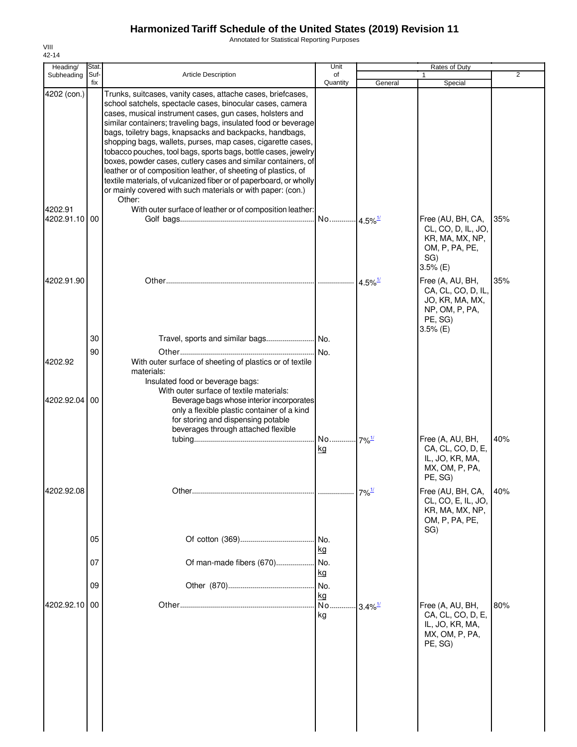Annotated for Statistical Reporting Purposes

| Heading/               | Stat.       |                                                                                                                                                                                                                                                                                                                                                                                                                                                                                                                                                                                                                                                                                                                                                                                                  | Unit                      |                        | Rates of Duty                                                                                        |                |
|------------------------|-------------|--------------------------------------------------------------------------------------------------------------------------------------------------------------------------------------------------------------------------------------------------------------------------------------------------------------------------------------------------------------------------------------------------------------------------------------------------------------------------------------------------------------------------------------------------------------------------------------------------------------------------------------------------------------------------------------------------------------------------------------------------------------------------------------------------|---------------------------|------------------------|------------------------------------------------------------------------------------------------------|----------------|
| Subheading             | Suf-<br>fix | Article Description                                                                                                                                                                                                                                                                                                                                                                                                                                                                                                                                                                                                                                                                                                                                                                              | of<br>Quantity            | General                | Special                                                                                              | $\overline{2}$ |
| 4202 (con.)<br>4202.91 |             | Trunks, suitcases, vanity cases, attache cases, briefcases,<br>school satchels, spectacle cases, binocular cases, camera<br>cases, musical instrument cases, gun cases, holsters and<br>similar containers; traveling bags, insulated food or beverage<br>bags, toiletry bags, knapsacks and backpacks, handbags,<br>shopping bags, wallets, purses, map cases, cigarette cases,<br>tobacco pouches, tool bags, sports bags, bottle cases, jewelry<br>boxes, powder cases, cutlery cases and similar containers, of<br>leather or of composition leather, of sheeting of plastics, of<br>textile materials, of vulcanized fiber or of paperboard, or wholly<br>or mainly covered with such materials or with paper: (con.)<br>Other:<br>With outer surface of leather or of composition leather: |                           |                        |                                                                                                      |                |
| 4202.91.10 00          |             |                                                                                                                                                                                                                                                                                                                                                                                                                                                                                                                                                                                                                                                                                                                                                                                                  | No 4.5% <sup>1/</sup>     |                        | Free (AU, BH, CA,<br>CL, CO, D, IL, JO,<br>KR, MA, MX, NP,<br>OM, P, PA, PE,<br>SG)<br>$3.5%$ (E)    | 35%            |
| 4202.91.90             |             |                                                                                                                                                                                                                                                                                                                                                                                                                                                                                                                                                                                                                                                                                                                                                                                                  |                           | $4.5\%$ <sup>1/</sup>  | Free (A, AU, BH,<br>CA, CL, CO, D, IL,<br>JO, KR, MA, MX,<br>NP, OM, P, PA,<br>PE, SG)<br>$3.5%$ (E) | 35%            |
|                        | 30          |                                                                                                                                                                                                                                                                                                                                                                                                                                                                                                                                                                                                                                                                                                                                                                                                  |                           |                        |                                                                                                      |                |
| 4202.92                | 90          | With outer surface of sheeting of plastics or of textile<br>materials:<br>Insulated food or beverage bags:<br>With outer surface of textile materials:                                                                                                                                                                                                                                                                                                                                                                                                                                                                                                                                                                                                                                           | .I No.                    |                        |                                                                                                      |                |
| 4202.92.04             | 00          | Beverage bags whose interior incorporates<br>only a flexible plastic container of a kind<br>for storing and dispensing potable<br>beverages through attached flexible                                                                                                                                                                                                                                                                                                                                                                                                                                                                                                                                                                                                                            | No 7% <sup>1/</sup><br>kg |                        | Free (A, AU, BH,<br>CA, CL, CO, D, E,<br>IL, JO, KR, MA,<br>MX, OM, P, PA,<br>PE, SG)                | 40%            |
| 4202.92.08             |             |                                                                                                                                                                                                                                                                                                                                                                                                                                                                                                                                                                                                                                                                                                                                                                                                  |                           | $7\%$ <sup>1/</sup>    | Free (AU, BH, CA,<br>CL, CO, E, IL, JO,<br>KR, MA, MX, NP,<br>OM, P, PA, PE,<br>SG)                  | 40%            |
|                        | 05<br>07    | Of man-made fibers (670)                                                                                                                                                                                                                                                                                                                                                                                                                                                                                                                                                                                                                                                                                                                                                                         | No.<br><u>kg</u><br>No.   |                        |                                                                                                      |                |
|                        |             |                                                                                                                                                                                                                                                                                                                                                                                                                                                                                                                                                                                                                                                                                                                                                                                                  | <u>kg</u>                 |                        |                                                                                                      |                |
|                        | 09          |                                                                                                                                                                                                                                                                                                                                                                                                                                                                                                                                                                                                                                                                                                                                                                                                  | No.<br>kg                 |                        |                                                                                                      |                |
| 4202.92.10             | 00          |                                                                                                                                                                                                                                                                                                                                                                                                                                                                                                                                                                                                                                                                                                                                                                                                  | No.<br>kg                 | $-3.4\%$ <sup>1/</sup> | Free (A, AU, BH,<br>CA, CL, CO, D, E,<br>IL, JO, KR, MA,<br>MX, OM, P, PA,<br>PE, SG)                | 80%            |
|                        |             |                                                                                                                                                                                                                                                                                                                                                                                                                                                                                                                                                                                                                                                                                                                                                                                                  |                           |                        |                                                                                                      |                |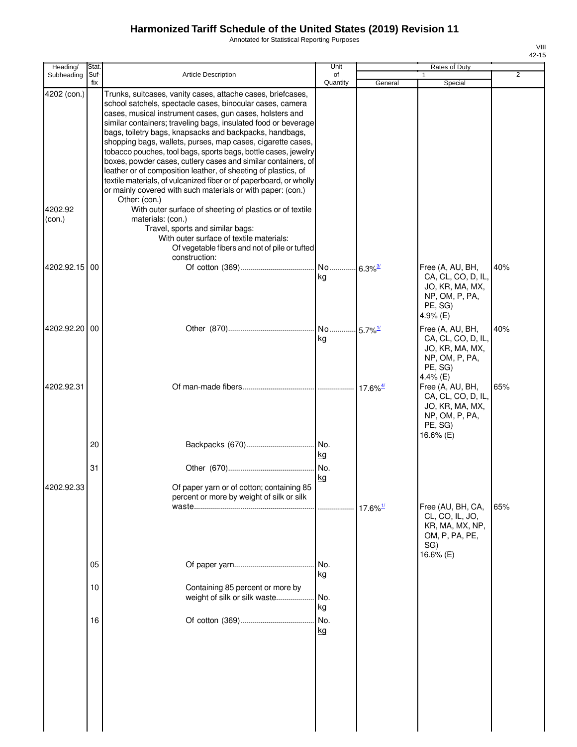Annotated for Statistical Reporting Purposes

| Heading/                         | Stat.       |                                                                                                                                                                                                                                                                                                                                                                                                                                                                                                                                                                                                                                                                                                                                                                                                                              | Unit           |                        | Rates of Duty                                                                                       |     |
|----------------------------------|-------------|------------------------------------------------------------------------------------------------------------------------------------------------------------------------------------------------------------------------------------------------------------------------------------------------------------------------------------------------------------------------------------------------------------------------------------------------------------------------------------------------------------------------------------------------------------------------------------------------------------------------------------------------------------------------------------------------------------------------------------------------------------------------------------------------------------------------------|----------------|------------------------|-----------------------------------------------------------------------------------------------------|-----|
| Subheading                       | Suf-<br>fix | <b>Article Description</b>                                                                                                                                                                                                                                                                                                                                                                                                                                                                                                                                                                                                                                                                                                                                                                                                   | of<br>Quantity | General                | 1<br>Special                                                                                        | 2   |
| 4202 (con.)<br>4202.92<br>(con.) |             | Trunks, suitcases, vanity cases, attache cases, briefcases,<br>school satchels, spectacle cases, binocular cases, camera<br>cases, musical instrument cases, gun cases, holsters and<br>similar containers; traveling bags, insulated food or beverage<br>bags, toiletry bags, knapsacks and backpacks, handbags,<br>shopping bags, wallets, purses, map cases, cigarette cases,<br>tobacco pouches, tool bags, sports bags, bottle cases, jewelry<br>boxes, powder cases, cutlery cases and similar containers, of<br>leather or of composition leather, of sheeting of plastics, of<br>textile materials, of vulcanized fiber or of paperboard, or wholly<br>or mainly covered with such materials or with paper: (con.)<br>Other: (con.)<br>With outer surface of sheeting of plastics or of textile<br>materials: (con.) |                |                        |                                                                                                     |     |
|                                  |             | Travel, sports and similar bags:<br>With outer surface of textile materials:<br>Of vegetable fibers and not of pile or tufted<br>construction:                                                                                                                                                                                                                                                                                                                                                                                                                                                                                                                                                                                                                                                                               |                |                        |                                                                                                     |     |
| 4202.92.15                       | 00          |                                                                                                                                                                                                                                                                                                                                                                                                                                                                                                                                                                                                                                                                                                                                                                                                                              | kg             |                        | Free (A, AU, BH,<br>CA, CL, CO, D, IL,<br>JO, KR, MA, MX,<br>NP, OM, P, PA,<br>PE, SG)<br>4.9% (E)  | 40% |
| 4202.92.20 00                    |             |                                                                                                                                                                                                                                                                                                                                                                                                                                                                                                                                                                                                                                                                                                                                                                                                                              | kg             |                        | Free (A, AU, BH,<br>CA, CL, CO, D, IL,<br>JO, KR, MA, MX,<br>NP, OM, P, PA,<br>PE, SG)<br>4.4% (E)  | 40% |
| 4202.92.31                       |             |                                                                                                                                                                                                                                                                                                                                                                                                                                                                                                                                                                                                                                                                                                                                                                                                                              |                |                        | Free (A, AU, BH,<br>CA, CL, CO, D, IL,<br>JO, KR, MA, MX,<br>NP, OM, P, PA,<br>PE, SG)<br>16.6% (E) | 65% |
|                                  | 20          |                                                                                                                                                                                                                                                                                                                                                                                                                                                                                                                                                                                                                                                                                                                                                                                                                              | kg             |                        |                                                                                                     |     |
| 4202.92.33                       | 31          | Of paper yarn or of cotton; containing 85<br>percent or more by weight of silk or silk                                                                                                                                                                                                                                                                                                                                                                                                                                                                                                                                                                                                                                                                                                                                       | No.<br>kg      |                        |                                                                                                     |     |
|                                  |             |                                                                                                                                                                                                                                                                                                                                                                                                                                                                                                                                                                                                                                                                                                                                                                                                                              |                | $17.6\%$ <sup>1/</sup> | Free (AU, BH, CA,<br>CL, CO, IL, JO,<br>KR, MA, MX, NP,<br>OM, P, PA, PE,<br>SG)<br>16.6% (E)       | 65% |
|                                  | 05          |                                                                                                                                                                                                                                                                                                                                                                                                                                                                                                                                                                                                                                                                                                                                                                                                                              | No.<br>kg      |                        |                                                                                                     |     |
|                                  | 10          | Containing 85 percent or more by<br>weight of silk or silk waste                                                                                                                                                                                                                                                                                                                                                                                                                                                                                                                                                                                                                                                                                                                                                             | No.<br>kg      |                        |                                                                                                     |     |
|                                  | 16          |                                                                                                                                                                                                                                                                                                                                                                                                                                                                                                                                                                                                                                                                                                                                                                                                                              | No.<br>kg      |                        |                                                                                                     |     |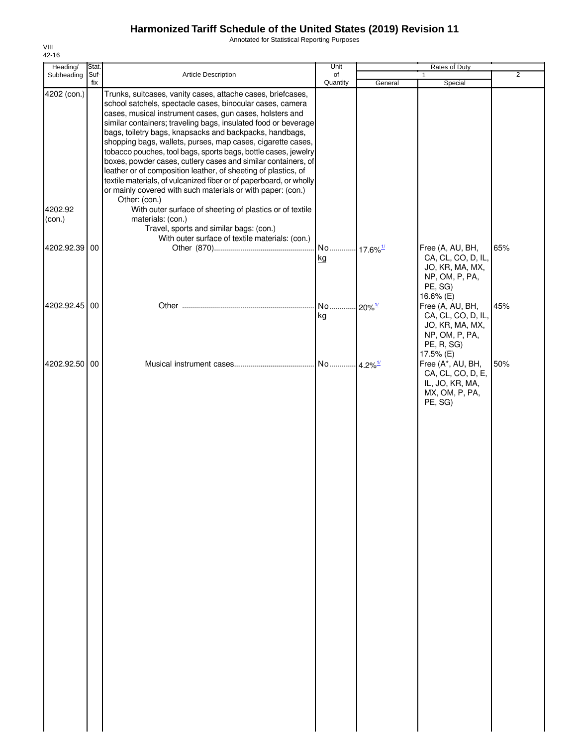Annotated for Statistical Reporting Purposes

| Heading/                         | Stat.       |                                                                                                                                                                                                                                                                                                                                                                                                                                                                                                                                                                                                                                                                                                                                                                                                                                                                                                                            | Unit                         |         | Rates of Duty                                                                                          |                |
|----------------------------------|-------------|----------------------------------------------------------------------------------------------------------------------------------------------------------------------------------------------------------------------------------------------------------------------------------------------------------------------------------------------------------------------------------------------------------------------------------------------------------------------------------------------------------------------------------------------------------------------------------------------------------------------------------------------------------------------------------------------------------------------------------------------------------------------------------------------------------------------------------------------------------------------------------------------------------------------------|------------------------------|---------|--------------------------------------------------------------------------------------------------------|----------------|
| Subheading                       | Suf-<br>fix | Article Description                                                                                                                                                                                                                                                                                                                                                                                                                                                                                                                                                                                                                                                                                                                                                                                                                                                                                                        | of<br>Quantity               | General | Special                                                                                                | $\overline{2}$ |
| 4202 (con.)<br>4202.92<br>(con.) |             | Trunks, suitcases, vanity cases, attache cases, briefcases,<br>school satchels, spectacle cases, binocular cases, camera<br>cases, musical instrument cases, gun cases, holsters and<br>similar containers; traveling bags, insulated food or beverage<br>bags, toiletry bags, knapsacks and backpacks, handbags,<br>shopping bags, wallets, purses, map cases, cigarette cases,<br>tobacco pouches, tool bags, sports bags, bottle cases, jewelry<br>boxes, powder cases, cutlery cases and similar containers, of<br>leather or of composition leather, of sheeting of plastics, of<br>textile materials, of vulcanized fiber or of paperboard, or wholly<br>or mainly covered with such materials or with paper: (con.)<br>Other: (con.)<br>With outer surface of sheeting of plastics or of textile<br>materials: (con.)<br>Travel, sports and similar bags: (con.)<br>With outer surface of textile materials: (con.) |                              |         |                                                                                                        |                |
| 4202.92.39                       | 00          |                                                                                                                                                                                                                                                                                                                                                                                                                                                                                                                                                                                                                                                                                                                                                                                                                                                                                                                            | No 17.6% <sup>1/</sup><br>kg |         | Free (A, AU, BH,<br>CA, CL, CO, D, IL,<br>JO, KR, MA, MX,<br>NP, OM, P, PA,<br>PE, SG)<br>16.6% (E)    | 65%            |
| 4202.92.45 00                    |             |                                                                                                                                                                                                                                                                                                                                                                                                                                                                                                                                                                                                                                                                                                                                                                                                                                                                                                                            | No 20% <sup>1/</sup><br>kg   |         | Free (A, AU, BH,<br>CA, CL, CO, D, IL,<br>JO, KR, MA, MX,<br>NP, OM, P, PA,<br>PE, R, SG)<br>17.5% (E) | 45%            |
| 4202.92.50                       | 00          |                                                                                                                                                                                                                                                                                                                                                                                                                                                                                                                                                                                                                                                                                                                                                                                                                                                                                                                            | No 4.2% <sup>1/</sup>        |         | Free (A*, AU, BH,<br>CA, CL, CO, D, E,<br>IL, JO, KR, MA,<br>MX, OM, P, PA,<br>PE, SG)                 | 50%            |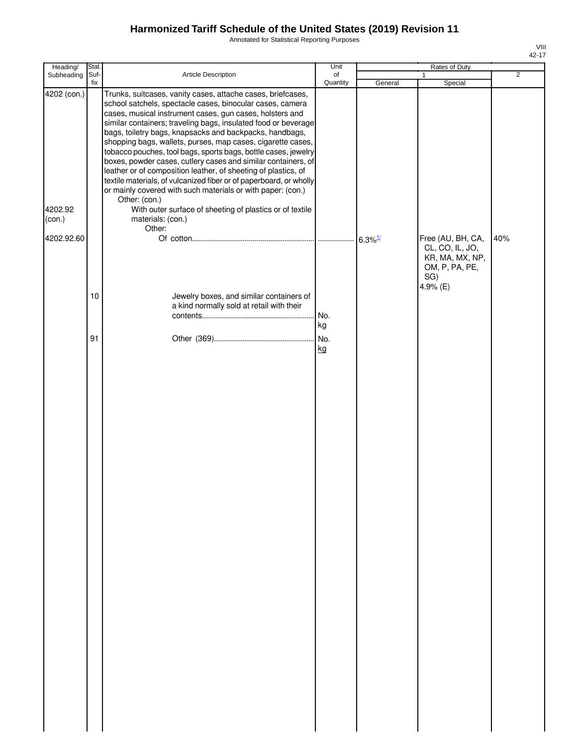Annotated for Statistical Reporting Purposes

| Heading/               | Stat.       |                                                                                                                                                                                                                                                                                                                                                                                                                                                                                                                                                                                                                                                                                                                                                                                                         | Unit           |         | Rates of Duty                                                                                |                |
|------------------------|-------------|---------------------------------------------------------------------------------------------------------------------------------------------------------------------------------------------------------------------------------------------------------------------------------------------------------------------------------------------------------------------------------------------------------------------------------------------------------------------------------------------------------------------------------------------------------------------------------------------------------------------------------------------------------------------------------------------------------------------------------------------------------------------------------------------------------|----------------|---------|----------------------------------------------------------------------------------------------|----------------|
| Subheading             | Suf-<br>fix | Article Description                                                                                                                                                                                                                                                                                                                                                                                                                                                                                                                                                                                                                                                                                                                                                                                     | of<br>Quantity |         | 1                                                                                            | $\overline{2}$ |
| 4202 (con.)<br>4202.92 |             | Trunks, suitcases, vanity cases, attache cases, briefcases,<br>school satchels, spectacle cases, binocular cases, camera<br>cases, musical instrument cases, gun cases, holsters and<br>similar containers; traveling bags, insulated food or beverage<br>bags, toiletry bags, knapsacks and backpacks, handbags,<br>shopping bags, wallets, purses, map cases, cigarette cases,<br>tobacco pouches, tool bags, sports bags, bottle cases, jewelry<br>boxes, powder cases, cutlery cases and similar containers, of<br>leather or of composition leather, of sheeting of plastics, of<br>textile materials, of vulcanized fiber or of paperboard, or wholly<br>or mainly covered with such materials or with paper: (con.)<br>Other: (con.)<br>With outer surface of sheeting of plastics or of textile |                | General | Special                                                                                      |                |
| (con.)                 |             | materials: (con.)<br>Other:                                                                                                                                                                                                                                                                                                                                                                                                                                                                                                                                                                                                                                                                                                                                                                             |                |         |                                                                                              |                |
| 4202.92.60             | 10          | Jewelry boxes, and similar containers of                                                                                                                                                                                                                                                                                                                                                                                                                                                                                                                                                                                                                                                                                                                                                                |                |         | Free (AU, BH, CA,<br>CL, CO, IL, JO,<br>KR, MA, MX, NP,<br>OM, P, PA, PE,<br>SG)<br>4.9% (E) | 40%            |
|                        |             | a kind normally sold at retail with their                                                                                                                                                                                                                                                                                                                                                                                                                                                                                                                                                                                                                                                                                                                                                               |                |         |                                                                                              |                |
|                        |             |                                                                                                                                                                                                                                                                                                                                                                                                                                                                                                                                                                                                                                                                                                                                                                                                         | No.<br>kg      |         |                                                                                              |                |
|                        | 91          |                                                                                                                                                                                                                                                                                                                                                                                                                                                                                                                                                                                                                                                                                                                                                                                                         | No.            |         |                                                                                              |                |
|                        |             |                                                                                                                                                                                                                                                                                                                                                                                                                                                                                                                                                                                                                                                                                                                                                                                                         | kg             |         |                                                                                              |                |
|                        |             |                                                                                                                                                                                                                                                                                                                                                                                                                                                                                                                                                                                                                                                                                                                                                                                                         |                |         |                                                                                              |                |
|                        |             |                                                                                                                                                                                                                                                                                                                                                                                                                                                                                                                                                                                                                                                                                                                                                                                                         |                |         |                                                                                              |                |
|                        |             |                                                                                                                                                                                                                                                                                                                                                                                                                                                                                                                                                                                                                                                                                                                                                                                                         |                |         |                                                                                              |                |
|                        |             |                                                                                                                                                                                                                                                                                                                                                                                                                                                                                                                                                                                                                                                                                                                                                                                                         |                |         |                                                                                              |                |
|                        |             |                                                                                                                                                                                                                                                                                                                                                                                                                                                                                                                                                                                                                                                                                                                                                                                                         |                |         |                                                                                              |                |
|                        |             |                                                                                                                                                                                                                                                                                                                                                                                                                                                                                                                                                                                                                                                                                                                                                                                                         |                |         |                                                                                              |                |
|                        |             |                                                                                                                                                                                                                                                                                                                                                                                                                                                                                                                                                                                                                                                                                                                                                                                                         |                |         |                                                                                              |                |
|                        |             |                                                                                                                                                                                                                                                                                                                                                                                                                                                                                                                                                                                                                                                                                                                                                                                                         |                |         |                                                                                              |                |
|                        |             |                                                                                                                                                                                                                                                                                                                                                                                                                                                                                                                                                                                                                                                                                                                                                                                                         |                |         |                                                                                              |                |
|                        |             |                                                                                                                                                                                                                                                                                                                                                                                                                                                                                                                                                                                                                                                                                                                                                                                                         |                |         |                                                                                              |                |
|                        |             |                                                                                                                                                                                                                                                                                                                                                                                                                                                                                                                                                                                                                                                                                                                                                                                                         |                |         |                                                                                              |                |
|                        |             |                                                                                                                                                                                                                                                                                                                                                                                                                                                                                                                                                                                                                                                                                                                                                                                                         |                |         |                                                                                              |                |
|                        |             |                                                                                                                                                                                                                                                                                                                                                                                                                                                                                                                                                                                                                                                                                                                                                                                                         |                |         |                                                                                              |                |
|                        |             |                                                                                                                                                                                                                                                                                                                                                                                                                                                                                                                                                                                                                                                                                                                                                                                                         |                |         |                                                                                              |                |
|                        |             |                                                                                                                                                                                                                                                                                                                                                                                                                                                                                                                                                                                                                                                                                                                                                                                                         |                |         |                                                                                              |                |
|                        |             |                                                                                                                                                                                                                                                                                                                                                                                                                                                                                                                                                                                                                                                                                                                                                                                                         |                |         |                                                                                              |                |
|                        |             |                                                                                                                                                                                                                                                                                                                                                                                                                                                                                                                                                                                                                                                                                                                                                                                                         |                |         |                                                                                              |                |
|                        |             |                                                                                                                                                                                                                                                                                                                                                                                                                                                                                                                                                                                                                                                                                                                                                                                                         |                |         |                                                                                              |                |
|                        |             |                                                                                                                                                                                                                                                                                                                                                                                                                                                                                                                                                                                                                                                                                                                                                                                                         |                |         |                                                                                              |                |
|                        |             |                                                                                                                                                                                                                                                                                                                                                                                                                                                                                                                                                                                                                                                                                                                                                                                                         |                |         |                                                                                              |                |
|                        |             |                                                                                                                                                                                                                                                                                                                                                                                                                                                                                                                                                                                                                                                                                                                                                                                                         |                |         |                                                                                              |                |
|                        |             |                                                                                                                                                                                                                                                                                                                                                                                                                                                                                                                                                                                                                                                                                                                                                                                                         |                |         |                                                                                              |                |
|                        |             |                                                                                                                                                                                                                                                                                                                                                                                                                                                                                                                                                                                                                                                                                                                                                                                                         |                |         |                                                                                              |                |
|                        |             |                                                                                                                                                                                                                                                                                                                                                                                                                                                                                                                                                                                                                                                                                                                                                                                                         |                |         |                                                                                              |                |
|                        |             |                                                                                                                                                                                                                                                                                                                                                                                                                                                                                                                                                                                                                                                                                                                                                                                                         |                |         |                                                                                              |                |
|                        |             |                                                                                                                                                                                                                                                                                                                                                                                                                                                                                                                                                                                                                                                                                                                                                                                                         |                |         |                                                                                              |                |
|                        |             |                                                                                                                                                                                                                                                                                                                                                                                                                                                                                                                                                                                                                                                                                                                                                                                                         |                |         |                                                                                              |                |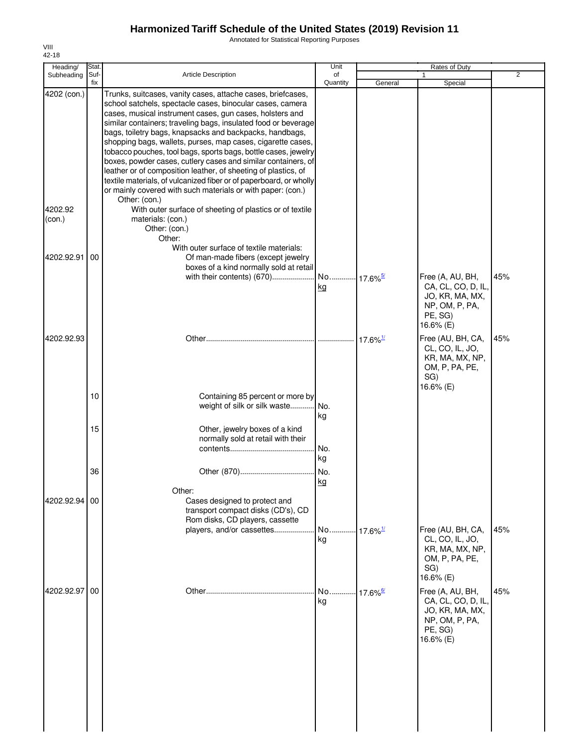Annotated for Statistical Reporting Purposes

| Heading/                         | Stat.       |                                                                                                                                                                                                                                                                                                                                                                                                                                                                                                                                                                                                                                                                                                                                                                                                                              | Unit                         |                        | Rates of Duty                                                                                       |     |
|----------------------------------|-------------|------------------------------------------------------------------------------------------------------------------------------------------------------------------------------------------------------------------------------------------------------------------------------------------------------------------------------------------------------------------------------------------------------------------------------------------------------------------------------------------------------------------------------------------------------------------------------------------------------------------------------------------------------------------------------------------------------------------------------------------------------------------------------------------------------------------------------|------------------------------|------------------------|-----------------------------------------------------------------------------------------------------|-----|
| Subheading                       | Suf-<br>fix | <b>Article Description</b>                                                                                                                                                                                                                                                                                                                                                                                                                                                                                                                                                                                                                                                                                                                                                                                                   | of<br>Quantity               | General                | 1<br>Special                                                                                        | 2   |
| 4202 (con.)<br>4202.92<br>(con.) |             | Trunks, suitcases, vanity cases, attache cases, briefcases,<br>school satchels, spectacle cases, binocular cases, camera<br>cases, musical instrument cases, gun cases, holsters and<br>similar containers; traveling bags, insulated food or beverage<br>bags, toiletry bags, knapsacks and backpacks, handbags,<br>shopping bags, wallets, purses, map cases, cigarette cases,<br>tobacco pouches, tool bags, sports bags, bottle cases, jewelry<br>boxes, powder cases, cutlery cases and similar containers, of<br>leather or of composition leather, of sheeting of plastics, of<br>textile materials, of vulcanized fiber or of paperboard, or wholly<br>or mainly covered with such materials or with paper: (con.)<br>Other: (con.)<br>With outer surface of sheeting of plastics or of textile<br>materials: (con.) |                              |                        |                                                                                                     |     |
|                                  |             | Other: (con.)<br>Other:<br>With outer surface of textile materials:                                                                                                                                                                                                                                                                                                                                                                                                                                                                                                                                                                                                                                                                                                                                                          |                              |                        |                                                                                                     |     |
| 4202.92.91                       | 00          | Of man-made fibers (except jewelry<br>boxes of a kind normally sold at retail<br>with their contents) (670)                                                                                                                                                                                                                                                                                                                                                                                                                                                                                                                                                                                                                                                                                                                  | No 17.6% <sup>5/</sup>       |                        | Free (A, AU, BH,                                                                                    | 45% |
|                                  |             |                                                                                                                                                                                                                                                                                                                                                                                                                                                                                                                                                                                                                                                                                                                                                                                                                              | kg                           |                        | CA, CL, CO, D, IL,<br>JO, KR, MA, MX,<br>NP, OM, P, PA,<br>PE, SG)<br>16.6% (E)                     |     |
| 4202.92.93                       |             |                                                                                                                                                                                                                                                                                                                                                                                                                                                                                                                                                                                                                                                                                                                                                                                                                              |                              | $17.6\%$ <sup>1/</sup> | Free (AU, BH, CA,<br>CL, CO, IL, JO,<br>KR, MA, MX, NP,<br>OM, P, PA, PE,<br>SG)<br>16.6% (E)       | 45% |
|                                  | 10          | Containing 85 percent or more by<br>weight of silk or silk waste                                                                                                                                                                                                                                                                                                                                                                                                                                                                                                                                                                                                                                                                                                                                                             | No.<br>kg                    |                        |                                                                                                     |     |
|                                  | 15          | Other, jewelry boxes of a kind<br>normally sold at retail with their                                                                                                                                                                                                                                                                                                                                                                                                                                                                                                                                                                                                                                                                                                                                                         | No.<br>kg                    |                        |                                                                                                     |     |
|                                  | 36          |                                                                                                                                                                                                                                                                                                                                                                                                                                                                                                                                                                                                                                                                                                                                                                                                                              | No.<br>kg                    |                        |                                                                                                     |     |
| 4202.92.94 00                    |             | Other:<br>Cases designed to protect and<br>transport compact disks (CD's), CD<br>Rom disks, CD players, cassette                                                                                                                                                                                                                                                                                                                                                                                                                                                                                                                                                                                                                                                                                                             |                              |                        |                                                                                                     |     |
|                                  |             | players, and/or cassettes                                                                                                                                                                                                                                                                                                                                                                                                                                                                                                                                                                                                                                                                                                                                                                                                    | No<br>kg                     | $17.6\%$ <sup>1/</sup> | Free (AU, BH, CA,<br>CL, CO, IL, JO,<br>KR, MA, MX, NP,<br>OM, P, PA, PE,<br>SG)<br>16.6% (E)       | 45% |
| 4202.92.97                       | 00          |                                                                                                                                                                                                                                                                                                                                                                                                                                                                                                                                                                                                                                                                                                                                                                                                                              | No 17.6% <sup>6/</sup><br>kg |                        | Free (A, AU, BH,<br>CA, CL, CO, D, IL,<br>JO, KR, MA, MX,<br>NP, OM, P, PA,<br>PE, SG)<br>16.6% (E) | 45% |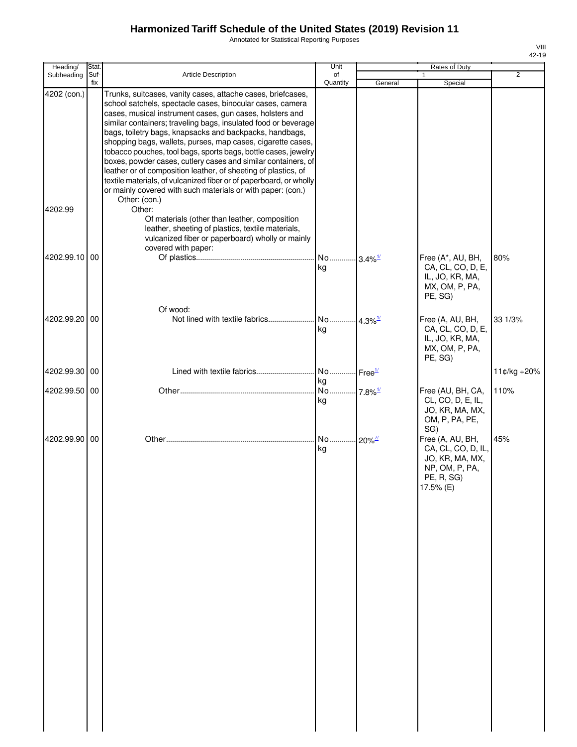Annotated for Statistical Reporting Purposes

| Heading/               | Stat.       |                                                                                                                                                                                                                                                                                                                                                                                                                                                                                                                                                                                                                                                                                                                                                       | Unit                        |                       | Rates of Duty                                                                                          |                |
|------------------------|-------------|-------------------------------------------------------------------------------------------------------------------------------------------------------------------------------------------------------------------------------------------------------------------------------------------------------------------------------------------------------------------------------------------------------------------------------------------------------------------------------------------------------------------------------------------------------------------------------------------------------------------------------------------------------------------------------------------------------------------------------------------------------|-----------------------------|-----------------------|--------------------------------------------------------------------------------------------------------|----------------|
| Subheading             | Suf-<br>fix | <b>Article Description</b>                                                                                                                                                                                                                                                                                                                                                                                                                                                                                                                                                                                                                                                                                                                            | of<br>Quantity              | General               | 1<br>Special                                                                                           | $\overline{2}$ |
| 4202 (con.)<br>4202.99 |             | Trunks, suitcases, vanity cases, attache cases, briefcases,<br>school satchels, spectacle cases, binocular cases, camera<br>cases, musical instrument cases, gun cases, holsters and<br>similar containers; traveling bags, insulated food or beverage<br>bags, toiletry bags, knapsacks and backpacks, handbags,<br>shopping bags, wallets, purses, map cases, cigarette cases,<br>tobacco pouches, tool bags, sports bags, bottle cases, jewelry<br>boxes, powder cases, cutlery cases and similar containers, of<br>leather or of composition leather, of sheeting of plastics, of<br>textile materials, of vulcanized fiber or of paperboard, or wholly<br>or mainly covered with such materials or with paper: (con.)<br>Other: (con.)<br>Other: |                             |                       |                                                                                                        |                |
|                        |             | Of materials (other than leather, composition<br>leather, sheeting of plastics, textile materials,<br>vulcanized fiber or paperboard) wholly or mainly<br>covered with paper:                                                                                                                                                                                                                                                                                                                                                                                                                                                                                                                                                                         |                             |                       |                                                                                                        |                |
| 4202.99.10 00          |             |                                                                                                                                                                                                                                                                                                                                                                                                                                                                                                                                                                                                                                                                                                                                                       | No 3.4% <sup>1/</sup><br>kg |                       | Free (A*, AU, BH,<br>CA, CL, CO, D, E,<br>IL, JO, KR, MA,<br>MX, OM, P, PA,<br>PE, SG)                 | 80%            |
| 4202.99.20 00          |             | Of wood:                                                                                                                                                                                                                                                                                                                                                                                                                                                                                                                                                                                                                                                                                                                                              | No<br>kg                    | $4.3\%$ <sup>1/</sup> | Free (A, AU, BH,<br>CA, CL, CO, D, E,<br>IL, JO, KR, MA,<br>MX, OM, P, PA,<br>PE, SG)                  | 33 1/3%        |
| 4202.99.30 00          |             | Lined with textile fabrics                                                                                                                                                                                                                                                                                                                                                                                                                                                                                                                                                                                                                                                                                                                            | No Free <sup>1/</sup><br>kg |                       |                                                                                                        | 11¢/kg +20%    |
| 4202.99.50 00          |             |                                                                                                                                                                                                                                                                                                                                                                                                                                                                                                                                                                                                                                                                                                                                                       | No 7.8% <sup>1/</sup><br>kg |                       | Free (AU, BH, CA,<br>CL, CO, D, E, IL,<br>JO, KR, MA, MX,<br>OM, P, PA, PE,<br>SG)                     | 110%           |
| 4202.99.90 00          |             |                                                                                                                                                                                                                                                                                                                                                                                                                                                                                                                                                                                                                                                                                                                                                       | No 20% <sup>7/1</sup><br>kg |                       | Free (A, AU, BH,<br>CA, CL, CO, D, IL,<br>JO, KR, MA, MX,<br>NP, OM, P, PA,<br>PE, R, SG)<br>17.5% (E) | 45%            |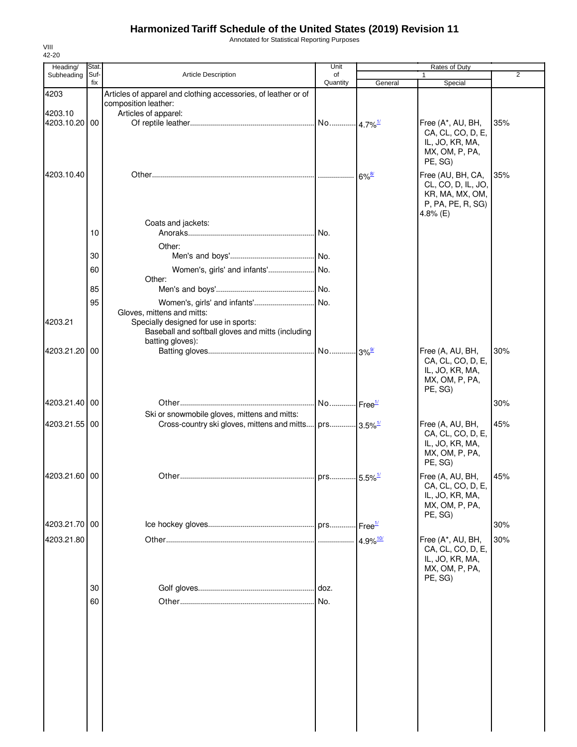Annotated for Statistical Reporting Purposes

| Heading/      | Stat.       |                                                                                                                                              | Unit                   |                        | Rates of Duty                                                                                 |                |
|---------------|-------------|----------------------------------------------------------------------------------------------------------------------------------------------|------------------------|------------------------|-----------------------------------------------------------------------------------------------|----------------|
| Subheading    | Suf-<br>fix | Article Description                                                                                                                          | of<br>Quantity         |                        |                                                                                               | $\overline{2}$ |
| 4203          |             | Articles of apparel and clothing accessories, of leather or of<br>composition leather:                                                       |                        | General                | Special                                                                                       |                |
| 4203.10       |             | Articles of apparel:                                                                                                                         |                        |                        |                                                                                               |                |
| 4203.10.20 00 |             |                                                                                                                                              |                        |                        | Free (A*, AU, BH,<br>CA, CL, CO, D, E,<br>IL, JO, KR, MA,<br>MX, OM, P, PA,<br>PE, SG)        | 35%            |
| 4203.10.40    |             |                                                                                                                                              |                        | $6\%$ <sup>8/</sup>    | Free (AU, BH, CA,<br>CL, CO, D, IL, JO,<br>KR, MA, MX, OM,<br>P, PA, PE, R, SG)<br>4.8% $(E)$ | 35%            |
|               | 10          | Coats and jackets:                                                                                                                           |                        |                        |                                                                                               |                |
|               |             | Other:                                                                                                                                       |                        |                        |                                                                                               |                |
|               | 30          |                                                                                                                                              |                        |                        |                                                                                               |                |
|               | 60          | Women's, girls' and infants' No.<br>Other:                                                                                                   |                        |                        |                                                                                               |                |
|               | 85          |                                                                                                                                              |                        |                        |                                                                                               |                |
|               | 95          | Women's, girls' and infants'                                                                                                                 | No.                    |                        |                                                                                               |                |
| 4203.21       |             | Gloves, mittens and mitts:<br>Specially designed for use in sports:<br>Baseball and softball gloves and mitts (including<br>batting gloves): |                        |                        |                                                                                               |                |
| 4203.21.20 00 |             |                                                                                                                                              |                        | $3\%$ <sup>9/</sup>    | Free (A, AU, BH,<br>CA, CL, CO, D, E,<br>IL, JO, KR, MA,<br>MX, OM, P, PA,<br>PE, SG)         | 30%            |
| 4203.21.40 00 |             |                                                                                                                                              | No Free <sup>1/</sup>  |                        |                                                                                               | 30%            |
|               |             | Ski or snowmobile gloves, mittens and mitts:                                                                                                 |                        |                        |                                                                                               |                |
| 4203.21.55 00 |             | Cross-country ski gloves, mittens and mitts                                                                                                  | prs 3.5% <sup>1/</sup> |                        | Free (A, AU, BH,<br>CA, CL, CO, D, E,<br>IL, JO, KR, MA,<br>MX, OM, P, PA,<br>PE, SG)         | 45%            |
| 4203.21.60 00 |             |                                                                                                                                              |                        |                        | Free (A, AU, BH,<br>CA, CL, CO, D, E,<br>IL, JO, KR, MA,<br>MX, OM, P, PA,                    | 45%            |
| 4203.21.70 00 |             |                                                                                                                                              |                        | $I$ Free $1/$          | PE, SG)                                                                                       | 30%            |
|               |             |                                                                                                                                              |                        |                        |                                                                                               |                |
| 4203.21.80    |             |                                                                                                                                              |                        | $4.9\%$ <sup>10/</sup> | Free (A*, AU, BH,<br>CA, CL, CO, D, E,<br>IL, JO, KR, MA,<br>MX, OM, P, PA,<br>PE, SG)        | 30%            |
|               | 30          |                                                                                                                                              |                        |                        |                                                                                               |                |
|               | 60          |                                                                                                                                              | No.                    |                        |                                                                                               |                |
|               |             |                                                                                                                                              |                        |                        |                                                                                               |                |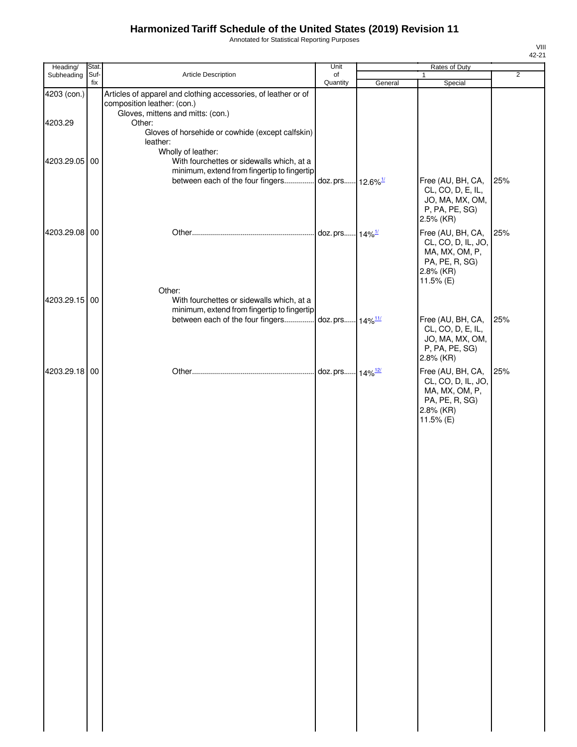Annotated for Statistical Reporting Purposes

| Article Description                                                                                                                | of<br>Quantity               | General                                                                                    | 1                                                                                                                                                         | $\overline{2}$                                      |
|------------------------------------------------------------------------------------------------------------------------------------|------------------------------|--------------------------------------------------------------------------------------------|-----------------------------------------------------------------------------------------------------------------------------------------------------------|-----------------------------------------------------|
|                                                                                                                                    |                              |                                                                                            | Special                                                                                                                                                   |                                                     |
| Articles of apparel and clothing accessories, of leather or of<br>composition leather: (con.)<br>Gloves, mittens and mitts: (con.) |                              |                                                                                            |                                                                                                                                                           |                                                     |
| Gloves of horsehide or cowhide (except calfskin)<br>leather:                                                                       |                              |                                                                                            |                                                                                                                                                           |                                                     |
| With fourchettes or sidewalls which, at a<br>between each of the four fingers                                                      |                              |                                                                                            | Free (AU, BH, CA,                                                                                                                                         | 25%                                                 |
|                                                                                                                                    |                              |                                                                                            | CL, CO, D, E, IL,<br>JO, MA, MX, OM,<br>P, PA, PE, SG)<br>2.5% (KR)                                                                                       |                                                     |
| Other:                                                                                                                             |                              |                                                                                            | CL, CO, D, IL, JO,<br>MA, MX, OM, P,<br>PA, PE, R, SG)<br>11.5% (E)                                                                                       | 25%                                                 |
| With fourchettes or sidewalls which, at a                                                                                          |                              |                                                                                            |                                                                                                                                                           |                                                     |
|                                                                                                                                    |                              |                                                                                            |                                                                                                                                                           | 25%                                                 |
|                                                                                                                                    |                              |                                                                                            | CL, CO, D, E, IL,<br>JO, MA, MX, OM,<br>P, PA, PE, SG)<br>2.8% (KR)                                                                                       |                                                     |
|                                                                                                                                    |                              |                                                                                            | Free (AU, BH, CA,<br>CL, CO, D, IL, JO,<br>MA, MX, OM, P,<br>PA, PE, R, SG)<br>2.8% (KR)<br>11.5% (E)                                                     | 25%                                                 |
|                                                                                                                                    | Other:<br>Wholly of leather: | minimum, extend from fingertip to fingertip<br>minimum, extend from fingertip to fingertip | doz. prs 12.6% <sup>1/</sup><br>doz. prs 14% <sup>1/</sup><br>between each of the four fingers doz. prs 14% <sup>11/</sup><br>doz. prs 14% <sup>12/</sup> | Free (AU, BH, CA,<br>2.8% (KR)<br>Free (AU, BH, CA, |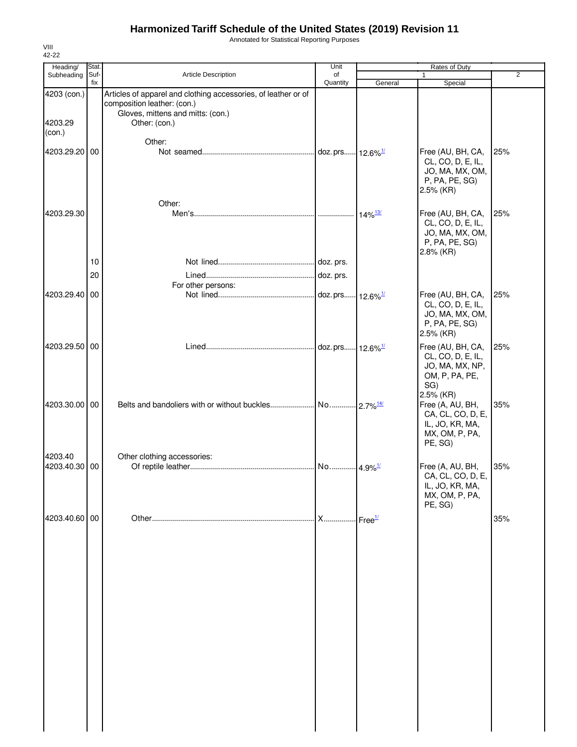Annotated for Statistical Reporting Purposes

| Heading/                 | Stat.       |                                                                                                                                                     | Unit                 |                       | Rates of Duty                                                                                   |                |
|--------------------------|-------------|-----------------------------------------------------------------------------------------------------------------------------------------------------|----------------------|-----------------------|-------------------------------------------------------------------------------------------------|----------------|
| Subheading               | Suf-<br>fix | Article Description                                                                                                                                 | of<br>Quantity       | General               | 1<br>Special                                                                                    | $\overline{2}$ |
| 4203 (con.)<br>4203.29   |             | Articles of apparel and clothing accessories, of leather or of<br>composition leather: (con.)<br>Gloves, mittens and mitts: (con.)<br>Other: (con.) |                      |                       |                                                                                                 |                |
| (con.)<br>4203.29.20 00  |             | Other:                                                                                                                                              |                      |                       | Free (AU, BH, CA,                                                                               | 25%            |
|                          |             | Other:                                                                                                                                              |                      |                       | CL, CO, D, E, IL,<br>JO, MA, MX, OM,<br>P, PA, PE, SG)<br>2.5% (KR)                             |                |
| 4203.29.30               |             |                                                                                                                                                     |                      | $14\%$ <sup>13/</sup> | Free (AU, BH, CA,<br>CL, CO, D, E, IL,<br>JO, MA, MX, OM,<br>P, PA, PE, SG)<br>2.8% (KR)        | 25%            |
|                          | 10          |                                                                                                                                                     |                      |                       |                                                                                                 |                |
|                          | 20          |                                                                                                                                                     |                      |                       |                                                                                                 |                |
| 4203.29.40 00            |             | For other persons:                                                                                                                                  |                      |                       | Free (AU, BH, CA,                                                                               | 25%            |
|                          |             |                                                                                                                                                     |                      |                       | CL, CO, D, E, IL,<br>JO, MA, MX, OM,<br>P, PA, PE, SG)<br>2.5% (KR)                             |                |
| 4203.29.50 00            |             |                                                                                                                                                     |                      |                       | Free (AU, BH, CA,<br>CL, CO, D, E, IL,<br>JO, MA, MX, NP,<br>OM, P, PA, PE,<br>SG)<br>2.5% (KR) | 25%            |
| 4203.30.00 00            |             |                                                                                                                                                     |                      |                       | Free (A, AU, BH,<br>CA, CL, CO, D, E,<br>IL, JO, KR, MA,<br>MX, OM, P, PA,<br>PE, SG)           | 35%            |
| 4203.40<br>4203.40.30 00 |             | Other clothing accessories:                                                                                                                         |                      |                       | Free (A, AU, BH,<br>CA, CL, CO, D, E,<br>IL, JO, KR, MA,<br>MX, OM, P, PA,<br>PE, SG)           | 35%            |
| 4203.40.60 00            |             |                                                                                                                                                     | X Free <sup>1/</sup> |                       |                                                                                                 | 35%            |
|                          |             |                                                                                                                                                     |                      |                       |                                                                                                 |                |
|                          |             |                                                                                                                                                     |                      |                       |                                                                                                 |                |
|                          |             |                                                                                                                                                     |                      |                       |                                                                                                 |                |
|                          |             |                                                                                                                                                     |                      |                       |                                                                                                 |                |
|                          |             |                                                                                                                                                     |                      |                       |                                                                                                 |                |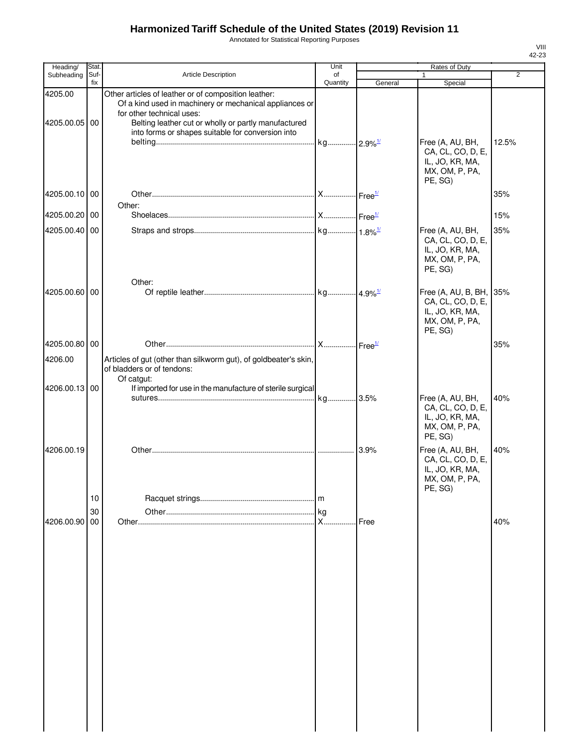Annotated for Statistical Reporting Purposes

| Heading/                 | Stat.       |                                                                                                                                                                                                                                                           | Unit           | Rates of Duty |                                                                                              |                |
|--------------------------|-------------|-----------------------------------------------------------------------------------------------------------------------------------------------------------------------------------------------------------------------------------------------------------|----------------|---------------|----------------------------------------------------------------------------------------------|----------------|
| Subheading               | Suf-<br>fix | Article Description                                                                                                                                                                                                                                       | of<br>Quantity | General       | $\mathbf{1}$<br>Special                                                                      | $\overline{2}$ |
| 4205.00<br>4205.00.05 00 |             | Other articles of leather or of composition leather:<br>Of a kind used in machinery or mechanical appliances or<br>for other technical uses:<br>Belting leather cut or wholly or partly manufactured<br>into forms or shapes suitable for conversion into |                |               | Free (A, AU, BH,                                                                             | 12.5%          |
|                          |             |                                                                                                                                                                                                                                                           |                |               | CA, CL, CO, D, E,<br>IL, JO, KR, MA,<br>MX, OM, P, PA,<br>PE, SG)                            |                |
| 4205.00.10 00            |             | Other:                                                                                                                                                                                                                                                    |                |               |                                                                                              | 35%            |
| 4205.00.20 00            |             |                                                                                                                                                                                                                                                           |                |               |                                                                                              | 15%            |
| 4205.00.40 00            |             |                                                                                                                                                                                                                                                           |                |               | Free (A, AU, BH,<br>CA, CL, CO, D, E,<br>IL, JO, KR, MA,<br>MX, OM, P, PA,<br>PE, SG)        | 35%            |
| 4205.00.60 00            |             | Other:                                                                                                                                                                                                                                                    |                |               | Free (A, AU, B, BH, 35%<br>CA, CL, CO, D, E,<br>IL, JO, KR, MA,<br>MX, OM, P, PA,<br>PE, SG) |                |
| 4205.00.80 00            |             |                                                                                                                                                                                                                                                           |                |               |                                                                                              | 35%            |
| 4206.00                  |             | Articles of gut (other than silkworm gut), of goldbeater's skin,<br>of bladders or of tendons:<br>Of catgut:                                                                                                                                              |                |               |                                                                                              |                |
| 4206.00.13 00            |             | If imported for use in the manufacture of sterile surgical                                                                                                                                                                                                |                |               | Free (A, AU, BH,<br>CA, CL, CO, D, E,<br>IL, JO, KR, MA,<br>MX, OM, P, PA,<br>PE, SG)        | 40%            |
| 4206.00.19               | 10          |                                                                                                                                                                                                                                                           |                | 3.9%          | Free (A, AU, BH,<br>CA, CL, CO, D, E,<br>IL, JO, KR, MA,<br>MX, OM, P, PA,<br>PE, SG)        | 40%            |
|                          | 30          |                                                                                                                                                                                                                                                           |                |               |                                                                                              |                |
| 4206.00.90 00            |             |                                                                                                                                                                                                                                                           |                | Free          |                                                                                              | 40%            |
|                          |             |                                                                                                                                                                                                                                                           |                |               |                                                                                              |                |
|                          |             |                                                                                                                                                                                                                                                           |                |               |                                                                                              |                |
|                          |             |                                                                                                                                                                                                                                                           |                |               |                                                                                              |                |
|                          |             |                                                                                                                                                                                                                                                           |                |               |                                                                                              |                |
|                          |             |                                                                                                                                                                                                                                                           |                |               |                                                                                              |                |
|                          |             |                                                                                                                                                                                                                                                           |                |               |                                                                                              |                |